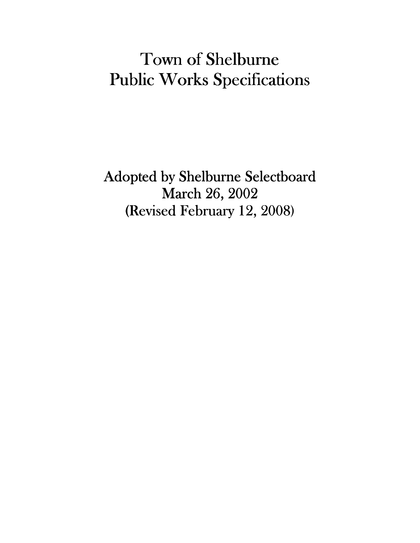# Town of Shelburne Public Works Specifications

Adopted by Shelburne Selectboard March 26, 2002 (Revised February 12, 2008)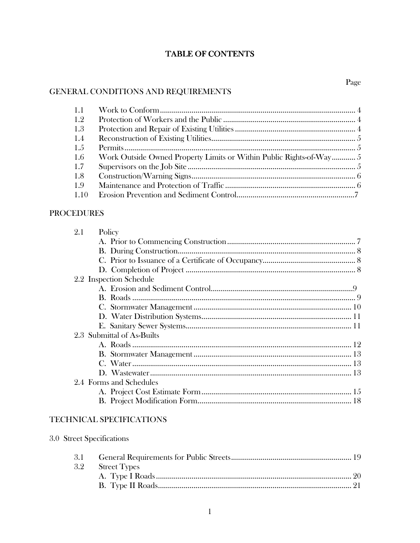#### TABLE OF CONTENTS

# GENERAL CONDITIONS AND REQUIREMENTS

| 1.1  |                                                                     |  |
|------|---------------------------------------------------------------------|--|
| 1.2  |                                                                     |  |
| 1.3  |                                                                     |  |
| 1.4  |                                                                     |  |
| 1.5  |                                                                     |  |
| 1.6  | Work Outside Owned Property Limits or Within Public Rights-of-Way 5 |  |
| 1.7  |                                                                     |  |
| 1.8  |                                                                     |  |
| 1.9  |                                                                     |  |
| 1.10 |                                                                     |  |

#### **PROCEDURES**

| 2.1 | Policy                     |  |
|-----|----------------------------|--|
|     |                            |  |
|     |                            |  |
|     |                            |  |
|     |                            |  |
|     | 2.2 Inspection Schedule    |  |
|     |                            |  |
|     |                            |  |
|     |                            |  |
|     |                            |  |
|     |                            |  |
|     | 2.3 Submittal of As-Builts |  |
|     |                            |  |
|     |                            |  |
|     |                            |  |
|     |                            |  |
|     | 2.4 Forms and Schedules    |  |
|     |                            |  |
|     |                            |  |
|     |                            |  |

#### TECHNICAL SPECIFICATIONS

3.0 Street Specifications

| 3.2 Street Types |  |
|------------------|--|
|                  |  |
|                  |  |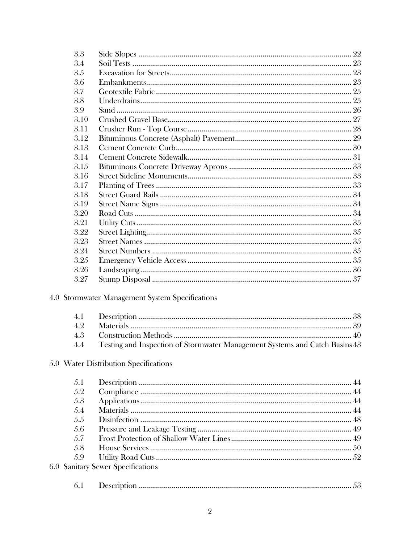| 3.3  |                                                                             |  |
|------|-----------------------------------------------------------------------------|--|
| 3.4  |                                                                             |  |
| 3.5  |                                                                             |  |
| 3.6  |                                                                             |  |
| 3.7  |                                                                             |  |
| 3.8  |                                                                             |  |
| 3.9  |                                                                             |  |
| 3.10 |                                                                             |  |
| 3.11 |                                                                             |  |
| 3.12 |                                                                             |  |
| 3.13 |                                                                             |  |
| 3.14 |                                                                             |  |
| 3.15 |                                                                             |  |
| 3.16 |                                                                             |  |
| 3.17 |                                                                             |  |
| 3.18 |                                                                             |  |
| 3.19 |                                                                             |  |
| 3.20 |                                                                             |  |
| 3.21 |                                                                             |  |
| 3.22 |                                                                             |  |
| 3.23 |                                                                             |  |
| 3.24 |                                                                             |  |
| 3.25 |                                                                             |  |
| 3.26 |                                                                             |  |
| 3.27 |                                                                             |  |
|      | 4.0 Stormwater Management System Specifications                             |  |
| 4.1  |                                                                             |  |
| 4.2  |                                                                             |  |
| 4.3  |                                                                             |  |
| 4.4  | Testing and Inspection of Stormwater Management Systems and Catch Basins 43 |  |
|      |                                                                             |  |

# 5.0 Water Distribution Specifications

 $6.0\,$ 

| 5.1  |                                      |  |
|------|--------------------------------------|--|
| .5.2 |                                      |  |
| 5.3  |                                      |  |
| .5.4 |                                      |  |
| 5.5  |                                      |  |
| 5.6  |                                      |  |
| .5.7 |                                      |  |
| .5.8 |                                      |  |
| .5.9 |                                      |  |
|      | <b>Sanitary Sewer Specifications</b> |  |
| 6.1  |                                      |  |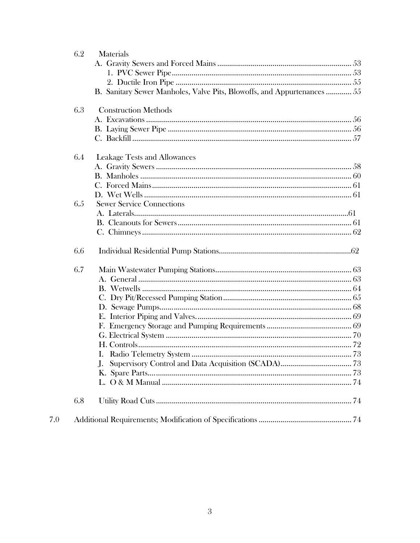| 6.2 | <b>Materials</b>                                                        |
|-----|-------------------------------------------------------------------------|
|     |                                                                         |
|     |                                                                         |
|     |                                                                         |
|     | B. Sanitary Sewer Manholes, Valve Pits, Blowoffs, and Appurtenances  55 |
| 6.3 | <b>Construction Methods</b>                                             |
|     |                                                                         |
|     |                                                                         |
|     |                                                                         |
| 6.4 | <b>Leakage Tests and Allowances</b>                                     |
|     |                                                                         |
|     |                                                                         |
|     |                                                                         |
|     |                                                                         |
| 6.5 | <b>Sewer Service Connections</b>                                        |
|     |                                                                         |
|     |                                                                         |
|     |                                                                         |
| 6.6 |                                                                         |
| 6.7 |                                                                         |
|     |                                                                         |
|     |                                                                         |
|     |                                                                         |
|     |                                                                         |
|     |                                                                         |
|     |                                                                         |
|     |                                                                         |
|     |                                                                         |
|     |                                                                         |
|     | $\mathbf{J}$ .                                                          |
|     |                                                                         |
|     |                                                                         |
| 6.8 |                                                                         |
|     |                                                                         |

 $7.0\,$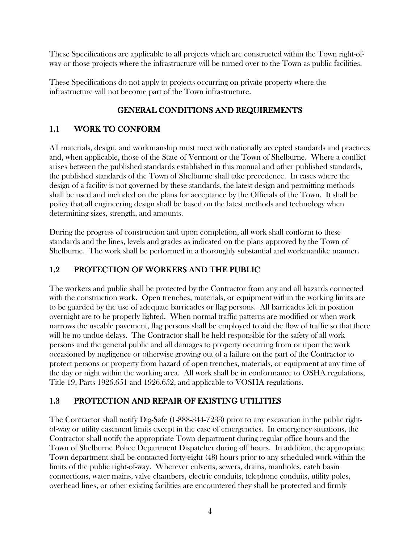These Specifications are applicable to all projects which are constructed within the Town right-ofway or those projects where the infrastructure will be turned over to the Town as public facilities.

These Specifications do not apply to projects occurring on private property where the infrastructure will not become part of the Town infrastructure.

# GENERAL CONDITIONS AND REQUIREMENTS

# 1.1 WORK TO CONFORM

All materials, design, and workmanship must meet with nationally accepted standards and practices and, when applicable, those of the State of Vermont or the Town of Shelburne. Where a conflict arises between the published standards established in this manual and other published standards, the published standards of the Town of Shelburne shall take precedence. In cases where the design of a facility is not governed by these standards, the latest design and permitting methods shall be used and included on the plans for acceptance by the Officials of the Town. It shall be policy that all engineering design shall be based on the latest methods and technology when determining sizes, strength, and amounts.

During the progress of construction and upon completion, all work shall conform to these standards and the lines, levels and grades as indicated on the plans approved by the Town of Shelburne. The work shall be performed in a thoroughly substantial and workmanlike manner.

# 1.2 PROTECTION OF WORKERS AND THE PUBLIC

The workers and public shall be protected by the Contractor from any and all hazards connected with the construction work. Open trenches, materials, or equipment within the working limits are to be guarded by the use of adequate barricades or flag persons. All barricades left in position overnight are to be properly lighted. When normal traffic patterns are modified or when work narrows the useable pavement, flag persons shall be employed to aid the flow of traffic so that there will be no undue delays. The Contractor shall be held responsible for the safety of all work persons and the general public and all damages to property occurring from or upon the work occasioned by negligence or otherwise growing out of a failure on the part of the Contractor to protect persons or property from hazard of open trenches, materials, or equipment at any time of the day or night within the working area. All work shall be in conformance to OSHA regulations, Title 19, Parts 1926.651 and 1926.652, and applicable to VOSHA regulations.

# 1.3 PROTECTION AND REPAIR OF EXISTING UTILITIES

The Contractor shall notify Dig-Safe (1-888-344-7233) prior to any excavation in the public rightof-way or utility easement limits except in the case of emergencies. In emergency situations, the Contractor shall notify the appropriate Town department during regular office hours and the Town of Shelburne Police Department Dispatcher during off hours. In addition, the appropriate Town department shall be contacted forty-eight (48) hours prior to any scheduled work within the limits of the public right-of-way. Wherever culverts, sewers, drains, manholes, catch basin connections, water mains, valve chambers, electric conduits, telephone conduits, utility poles, overhead lines, or other existing facilities are encountered they shall be protected and firmly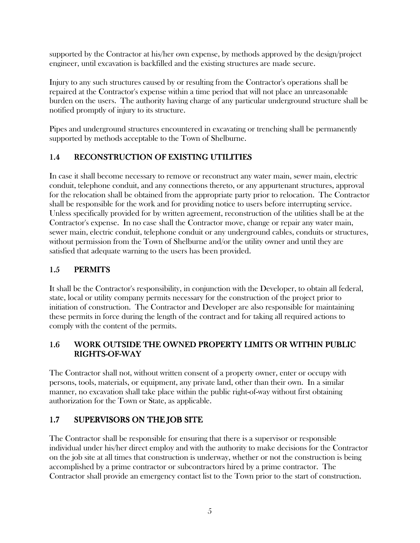supported by the Contractor at his/her own expense, by methods approved by the design/project engineer, until excavation is backfilled and the existing structures are made secure.

Injury to any such structures caused by or resulting from the Contractor's operations shall be repaired at the Contractor's expense within a time period that will not place an unreasonable burden on the users. The authority having charge of any particular underground structure shall be notified promptly of injury to its structure.

Pipes and underground structures encountered in excavating or trenching shall be permanently supported by methods acceptable to the Town of Shelburne.

# 1.4 RECONSTRUCTION OF EXISTING UTILITIES

In case it shall become necessary to remove or reconstruct any water main, sewer main, electric conduit, telephone conduit, and any connections thereto, or any appurtenant structures, approval for the relocation shall be obtained from the appropriate party prior to relocation. The Contractor shall be responsible for the work and for providing notice to users before interrupting service. Unless specifically provided for by written agreement, reconstruction of the utilities shall be at the Contractor's expense. In no case shall the Contractor move, change or repair any water main, sewer main, electric conduit, telephone conduit or any underground cables, conduits or structures, without permission from the Town of Shelburne and/or the utility owner and until they are satisfied that adequate warning to the users has been provided.

# 1.5 PERMITS

It shall be the Contractor's responsibility, in conjunction with the Developer, to obtain all federal, state, local or utility company permits necessary for the construction of the project prior to initiation of construction. The Contractor and Developer are also responsible for maintaining these permits in force during the length of the contract and for taking all required actions to comply with the content of the permits.

# 1.6 WORK OUTSIDE THE OWNED PROPERTY LIMITS OR WITHIN PUBLIC RIGHTS-OF-WAY

The Contractor shall not, without written consent of a property owner, enter or occupy with persons, tools, materials, or equipment, any private land, other than their own. In a similar manner, no excavation shall take place within the public right-of-way without first obtaining authorization for the Town or State, as applicable.

# 1.7 SUPERVISORS ON THE JOB SITE

The Contractor shall be responsible for ensuring that there is a supervisor or responsible individual under his/her direct employ and with the authority to make decisions for the Contractor on the job site at all times that construction is underway, whether or not the construction is being accomplished by a prime contractor or subcontractors hired by a prime contractor. The Contractor shall provide an emergency contact list to the Town prior to the start of construction.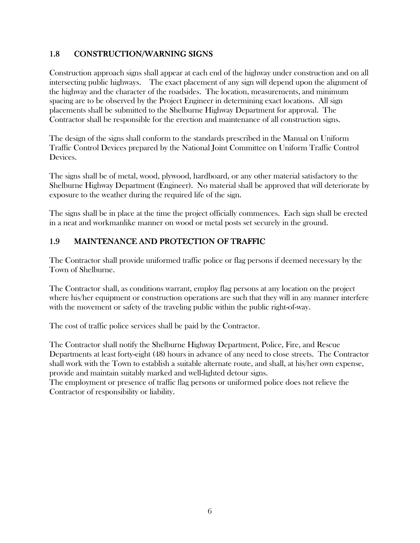## 1.8 CONSTRUCTION/WARNING SIGNS

Construction approach signs shall appear at each end of the highway under construction and on all intersecting public highways. The exact placement of any sign will depend upon the alignment of the highway and the character of the roadsides. The location, measurements, and minimum spacing are to be observed by the Project Engineer in determining exact locations. All sign placements shall be submitted to the Shelburne Highway Department for approval. The Contractor shall be responsible for the erection and maintenance of all construction signs.

The design of the signs shall conform to the standards prescribed in the Manual on Uniform Traffic Control Devices prepared by the National Joint Committee on Uniform Traffic Control Devices.

The signs shall be of metal, wood, plywood, hardboard, or any other material satisfactory to the Shelburne Highway Department (Engineer). No material shall be approved that will deteriorate by exposure to the weather during the required life of the sign.

The signs shall be in place at the time the project officially commences. Each sign shall be erected in a neat and workmanlike manner on wood or metal posts set securely in the ground.

# 1.9 MAINTENANCE AND PROTECTION OF TRAFFIC

The Contractor shall provide uniformed traffic police or flag persons if deemed necessary by the Town of Shelburne.

The Contractor shall, as conditions warrant, employ flag persons at any location on the project where his/her equipment or construction operations are such that they will in any manner interfere with the movement or safety of the traveling public within the public right-of-way.

The cost of traffic police services shall be paid by the Contractor.

The Contractor shall notify the Shelburne Highway Department, Police, Fire, and Rescue Departments at least forty-eight (48) hours in advance of any need to close streets. The Contractor shall work with the Town to establish a suitable alternate route, and shall, at his/her own expense, provide and maintain suitably marked and well-lighted detour signs.

The employment or presence of traffic flag persons or uniformed police does not relieve the Contractor of responsibility or liability.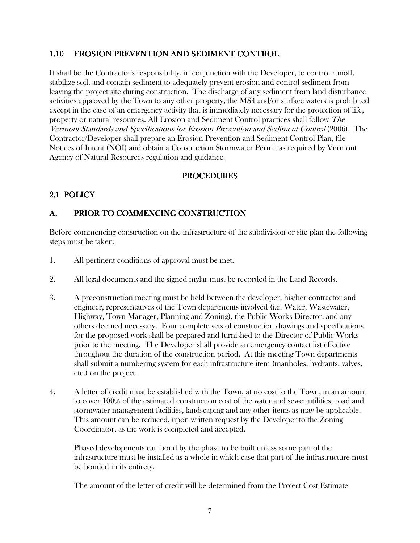#### 1.10 EROSION PREVENTION AND SEDIMENT CONTROL

It shall be the Contractor's responsibility, in conjunction with the Developer, to control runoff, stabilize soil, and contain sediment to adequately prevent erosion and control sediment from leaving the project site during construction. The discharge of any sediment from land disturbance activities approved by the Town to any other property, the MS4 and/or surface waters is prohibited except in the case of an emergency activity that is immediately necessary for the protection of life, property or natural resources. All Erosion and Sediment Control practices shall follow The Vermont Standards and Specifications for Erosion Prevention and Sediment Control (2006). The Contractor/Developer shall prepare an Erosion Prevention and Sediment Control Plan, file Notices of Intent (NOI) and obtain a Construction Stormwater Permit as required by Vermont Agency of Natural Resources regulation and guidance.

#### PROCEDURES

## 2.1 POLICY

# A. PRIOR TO COMMENCING CONSTRUCTION

Before commencing construction on the infrastructure of the subdivision or site plan the following steps must be taken:

- 1. All pertinent conditions of approval must be met.
- 2. All legal documents and the signed mylar must be recorded in the Land Records.
- 3. A preconstruction meeting must be held between the developer, his/her contractor and engineer, representatives of the Town departments involved (i.e. Water, Wastewater, Highway, Town Manager, Planning and Zoning), the Public Works Director, and any others deemed necessary. Four complete sets of construction drawings and specifications for the proposed work shall be prepared and furnished to the Director of Public Works prior to the meeting. The Developer shall provide an emergency contact list effective throughout the duration of the construction period. At this meeting Town departments shall submit a numbering system for each infrastructure item (manholes, hydrants, valves, etc.) on the project.
- 4. A letter of credit must be established with the Town, at no cost to the Town, in an amount to cover 100% of the estimated construction cost of the water and sewer utilities, road and stormwater management facilities, landscaping and any other items as may be applicable. This amount can be reduced, upon written request by the Developer to the Zoning Coordinator, as the work is completed and accepted.

Phased developments can bond by the phase to be built unless some part of the infrastructure must be installed as a whole in which case that part of the infrastructure must be bonded in its entirety.

The amount of the letter of credit will be determined from the Project Cost Estimate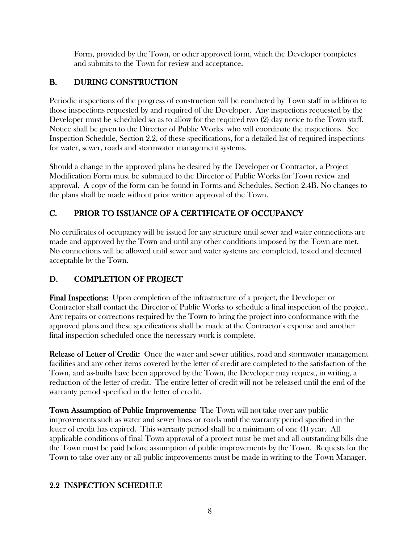Form, provided by the Town, or other approved form, which the Developer completes and submits to the Town for review and acceptance.

# B. DURING CONSTRUCTION

Periodic inspections of the progress of construction will be conducted by Town staff in addition to those inspections requested by and required of the Developer. Any inspections requested by the Developer must be scheduled so as to allow for the required two (2) day notice to the Town staff. Notice shall be given to the Director of Public Works who will coordinate the inspections. See Inspection Schedule, Section 2.2, of these specifications, for a detailed list of required inspections for water, sewer, roads and stormwater management systems.

Should a change in the approved plans be desired by the Developer or Contractor, a Project Modification Form must be submitted to the Director of Public Works for Town review and approval. A copy of the form can be found in Forms and Schedules, Section 2.4B. No changes to the plans shall be made without prior written approval of the Town.

# C. PRIOR TO ISSUANCE OF A CERTIFICATE OF OCCUPANCY

No certificates of occupancy will be issued for any structure until sewer and water connections are made and approved by the Town and until any other conditions imposed by the Town are met. No connections will be allowed until sewer and water systems are completed, tested and deemed acceptable by the Town.

# D. COMPLETION OF PROJECT

**Final Inspections:** Upon completion of the infrastructure of a project, the Developer or Contractor shall contact the Director of Public Works to schedule a final inspection of the project. Any repairs or corrections required by the Town to bring the project into conformance with the approved plans and these specifications shall be made at the Contractor's expense and another final inspection scheduled once the necessary work is complete.

Release of Letter of Credit: Once the water and sewer utilities, road and stormwater management facilities and any other items covered by the letter of credit are completed to the satisfaction of the Town, and as-builts have been approved by the Town, the Developer may request, in writing, a reduction of the letter of credit. The entire letter of credit will not be released until the end of the warranty period specified in the letter of credit.

**Town Assumption of Public Improvements:** The Town will not take over any public improvements such as water and sewer lines or roads until the warranty period specified in the letter of credit has expired. This warranty period shall be a minimum of one (1) year. All applicable conditions of final Town approval of a project must be met and all outstanding bills due the Town must be paid before assumption of public improvements by the Town. Requests for the Town to take over any or all public improvements must be made in writing to the Town Manager.

# 2.2 INSPECTION SCHEDULE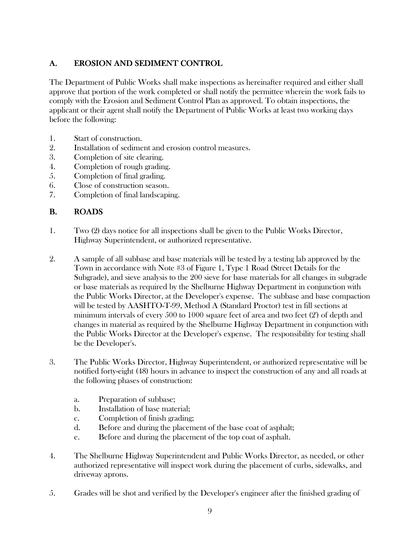# A. EROSION AND SEDIMENT CONTROL

The Department of Public Works shall make inspections as hereinafter required and either shall approve that portion of the work completed or shall notify the permittee wherein the work fails to comply with the Erosion and Sediment Control Plan as approved. To obtain inspections, the applicant or their agent shall notify the Department of Public Works at least two working days before the following:

- 1. Start of construction.
- 2. Installation of sediment and erosion control measures.
- 3. Completion of site clearing.
- 4. Completion of rough grading.
- 5. Completion of final grading.
- 6. Close of construction season.
- 7. Completion of final landscaping.

#### B. ROADS

- 1. Two (2) days notice for all inspections shall be given to the Public Works Director, Highway Superintendent, or authorized representative.
- 2. A sample of all subbase and base materials will be tested by a testing lab approved by the Town in accordance with Note #3 of Figure 1, Type 1 Road (Street Details for the Subgrade), and sieve analysis to the 200 sieve for base materials for all changes in subgrade or base materials as required by the Shelburne Highway Department in conjunction with the Public Works Director, at the Developer's expense. The subbase and base compaction will be tested by AASHTO-T-99, Method A (Standard Proctor) test in fill sections at minimum intervals of every 500 to 1000 square feet of area and two feet (2') of depth and changes in material as required by the Shelburne Highway Department in conjunction with the Public Works Director at the Developer's expense. The responsibility for testing shall be the Developer's.
- 3. The Public Works Director, Highway Superintendent, or authorized representative will be notified forty-eight (48) hours in advance to inspect the construction of any and all roads at the following phases of construction:
	- a. Preparation of subbase;
	- b. Installation of base material;
	- c. Completion of finish grading;
	- d. Before and during the placement of the base coat of asphalt;
	- e. Before and during the placement of the top coat of asphalt.
- 4. The Shelburne Highway Superintendent and Public Works Director, as needed, or other authorized representative will inspect work during the placement of curbs, sidewalks, and driveway aprons.
- 5. Grades will be shot and verified by the Developer's engineer after the finished grading of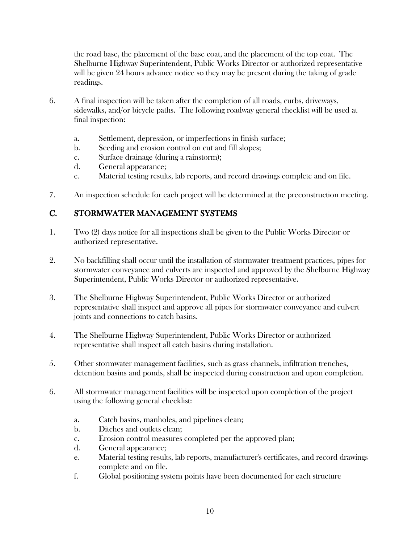the road base, the placement of the base coat, and the placement of the top coat. The Shelburne Highway Superintendent, Public Works Director or authorized representative will be given 24 hours advance notice so they may be present during the taking of grade readings.

- 6. A final inspection will be taken after the completion of all roads, curbs, driveways, sidewalks, and/or bicycle paths. The following roadway general checklist will be used at final inspection:
	- a. Settlement, depression, or imperfections in finish surface;
	- b. Seeding and erosion control on cut and fill slopes;
	- c. Surface drainage (during a rainstorm);
	- d. General appearance;
	- e. Material testing results, lab reports, and record drawings complete and on file.
- 7. An inspection schedule for each project will be determined at the preconstruction meeting.

# C. STORMWATER MANAGEMENT SYSTEMS

- 1. Two (2) days notice for all inspections shall be given to the Public Works Director or authorized representative.
- 2. No backfilling shall occur until the installation of stormwater treatment practices, pipes for stormwater conveyance and culverts are inspected and approved by the Shelburne Highway Superintendent, Public Works Director or authorized representative.
- 3. The Shelburne Highway Superintendent, Public Works Director or authorized representative shall inspect and approve all pipes for stormwater conveyance and culvert joints and connections to catch basins.
- 4. The Shelburne Highway Superintendent, Public Works Director or authorized representative shall inspect all catch basins during installation.
- 5. Other stormwater management facilities, such as grass channels, infiltration trenches, detention basins and ponds, shall be inspected during construction and upon completion.
- 6. All stormwater management facilities will be inspected upon completion of the project using the following general checklist:
	- a. Catch basins, manholes, and pipelines clean;
	- b. Ditches and outlets clean;
	- c. Erosion control measures completed per the approved plan;
	- d. General appearance;
	- e. Material testing results, lab reports, manufacturer's certificates, and record drawings complete and on file.
	- f. Global positioning system points have been documented for each structure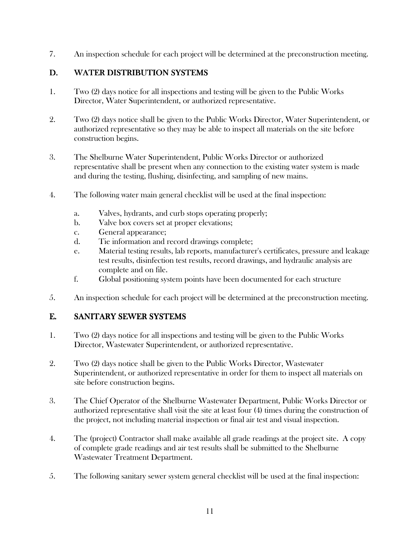7. An inspection schedule for each project will be determined at the preconstruction meeting.

#### D. WATER DISTRIBUTION SYSTEMS

- 1. Two (2) days notice for all inspections and testing will be given to the Public Works Director, Water Superintendent, or authorized representative.
- 2. Two (2) days notice shall be given to the Public Works Director, Water Superintendent, or authorized representative so they may be able to inspect all materials on the site before construction begins.
- 3. The Shelburne Water Superintendent, Public Works Director or authorized representative shall be present when any connection to the existing water system is made and during the testing, flushing, disinfecting, and sampling of new mains.
- 4. The following water main general checklist will be used at the final inspection:
	- a. Valves, hydrants, and curb stops operating properly;
	- b. Valve box covers set at proper elevations;
	- c. General appearance;
	- d. Tie information and record drawings complete;
	- e. Material testing results, lab reports, manufacturer's certificates, pressure and leakage test results, disinfection test results, record drawings, and hydraulic analysis are complete and on file.
	- f. Global positioning system points have been documented for each structure
- 5. An inspection schedule for each project will be determined at the preconstruction meeting.

# E. SANITARY SEWER SYSTEMS

- 1. Two (2) days notice for all inspections and testing will be given to the Public Works Director, Wastewater Superintendent, or authorized representative.
- 2. Two (2) days notice shall be given to the Public Works Director, Wastewater Superintendent, or authorized representative in order for them to inspect all materials on site before construction begins.
- 3. The Chief Operator of the Shelburne Wastewater Department, Public Works Director or authorized representative shall visit the site at least four (4) times during the construction of the project, not including material inspection or final air test and visual inspection.
- 4. The (project) Contractor shall make available all grade readings at the project site. A copy of complete grade readings and air test results shall be submitted to the Shelburne Wastewater Treatment Department.
- 5. The following sanitary sewer system general checklist will be used at the final inspection: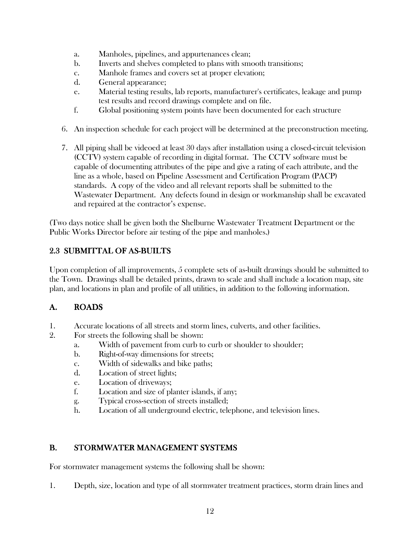- a. Manholes, pipelines, and appurtenances clean;
- b. Inverts and shelves completed to plans with smooth transitions;
- c. Manhole frames and covers set at proper elevation;
- d. General appearance;
- e. Material testing results, lab reports, manufacturer's certificates, leakage and pump test results and record drawings complete and on file.
- f. Global positioning system points have been documented for each structure
- 6. An inspection schedule for each project will be determined at the preconstruction meeting.
- 7. All piping shall be videoed at least 30 days after installation using a closed-circuit television (CCTV) system capable of recording in digital format. The CCTV software must be capable of documenting attributes of the pipe and give a rating of each attribute, and the line as a whole, based on Pipeline Assessment and Certification Program (PACP) standards. A copy of the video and all relevant reports shall be submitted to the Wastewater Department. Any defects found in design or workmanship shall be excavated and repaired at the contractor's expense.

(Two days notice shall be given both the Shelburne Wastewater Treatment Department or the Public Works Director before air testing of the pipe and manholes.)

## 2.3 SUBMITTAL OF AS-BUILTS

Upon completion of all improvements, 5 complete sets of as-built drawings should be submitted to the Town. Drawings shall be detailed prints, drawn to scale and shall include a location map, site plan, and locations in plan and profile of all utilities, in addition to the following information.

#### A. ROADS

- 1. Accurate locations of all streets and storm lines, culverts, and other facilities.
- 2. For streets the following shall be shown:
	- a. Width of pavement from curb to curb or shoulder to shoulder;
	- b. Right-of-way dimensions for streets;
	- c. Width of sidewalks and bike paths;
	- d. Location of street lights;
	- e. Location of driveways;
	- f. Location and size of planter islands, if any;
	- g. Typical cross-section of streets installed;
	- h. Location of all underground electric, telephone, and television lines.

#### B. STORMWATER MANAGEMENT SYSTEMS

For stormwater management systems the following shall be shown:

1. Depth, size, location and type of all stormwater treatment practices, storm drain lines and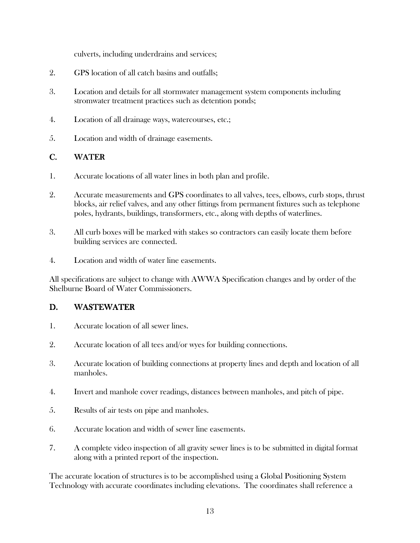culverts, including underdrains and services;

- 2. GPS location of all catch basins and outfalls;
- 3. Location and details for all stormwater management system components including stromwater treatment practices such as detention ponds;
- 4. Location of all drainage ways, watercourses, etc.;
- 5. Location and width of drainage easements.

#### C. WATER

- 1. Accurate locations of all water lines in both plan and profile.
- 2. Accurate measurements and GPS coordinates to all valves, tees, elbows, curb stops, thrust blocks, air relief valves, and any other fittings from permanent fixtures such as telephone poles, hydrants, buildings, transformers, etc., along with depths of waterlines.
- 3. All curb boxes will be marked with stakes so contractors can easily locate them before building services are connected.
- 4. Location and width of water line easements.

All specifications are subject to change with AWWA Specification changes and by order of the Shelburne Board of Water Commissioners.

#### D. WASTEWATER

- 1. Accurate location of all sewer lines.
- 2. Accurate location of all tees and/or wyes for building connections.
- 3. Accurate location of building connections at property lines and depth and location of all manholes.
- 4. Invert and manhole cover readings, distances between manholes, and pitch of pipe.
- 5. Results of air tests on pipe and manholes.
- 6. Accurate location and width of sewer line easements.
- 7. A complete video inspection of all gravity sewer lines is to be submitted in digital format along with a printed report of the inspection.

 The accurate location of structures is to be accomplished using a Global Positioning System Technology with accurate coordinates including elevations. The coordinates shall reference a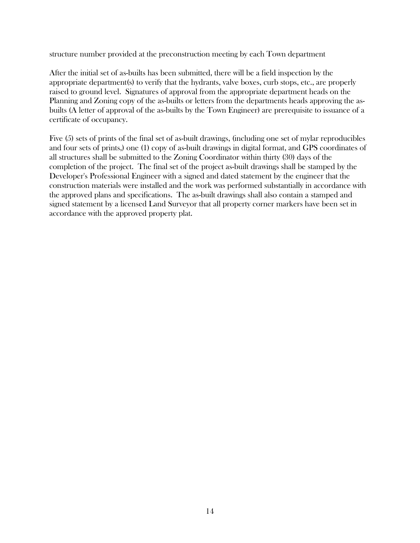structure number provided at the preconstruction meeting by each Town department

After the initial set of as-builts has been submitted, there will be a field inspection by the appropriate department(s) to verify that the hydrants, valve boxes, curb stops, etc., are properly raised to ground level. Signatures of approval from the appropriate department heads on the Planning and Zoning copy of the as-builts or letters from the departments heads approving the asbuilts (A letter of approval of the as-builts by the Town Engineer) are prerequisite to issuance of a certificate of occupancy.

Five (5) sets of prints of the final set of as-built drawings, (including one set of mylar reproducibles and four sets of prints,) one (1) copy of as-built drawings in digital format, and GPS coordinates of all structures shall be submitted to the Zoning Coordinator within thirty (30) days of the completion of the project. The final set of the project as-built drawings shall be stamped by the Developer's Professional Engineer with a signed and dated statement by the engineer that the construction materials were installed and the work was performed substantially in accordance with the approved plans and specifications. The as-built drawings shall also contain a stamped and signed statement by a licensed Land Surveyor that all property corner markers have been set in accordance with the approved property plat.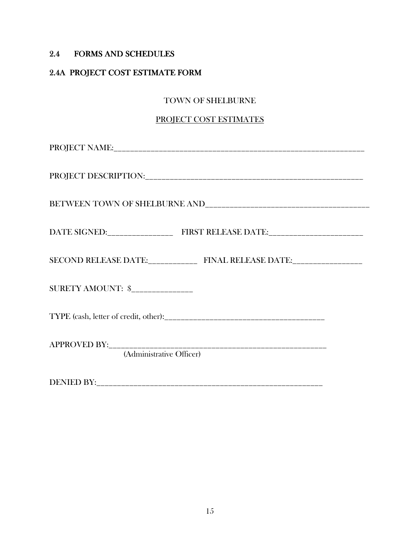## 2.4 FORMS AND SCHEDULES

# 2.4A PROJECT COST ESTIMATE FORM

#### TOWN OF SHELBURNE

#### PROJECT COST ESTIMATES

| SECOND RELEASE DATE:________________ FINAL RELEASE DATE:_________________ |  |  |
|---------------------------------------------------------------------------|--|--|
| SURETY AMOUNT: \$_______________                                          |  |  |
|                                                                           |  |  |
| (Administrative Officer)                                                  |  |  |

DENIED BY:\_\_\_\_\_\_\_\_\_\_\_\_\_\_\_\_\_\_\_\_\_\_\_\_\_\_\_\_\_\_\_\_\_\_\_\_\_\_\_\_\_\_\_\_\_\_\_\_\_\_\_\_\_\_\_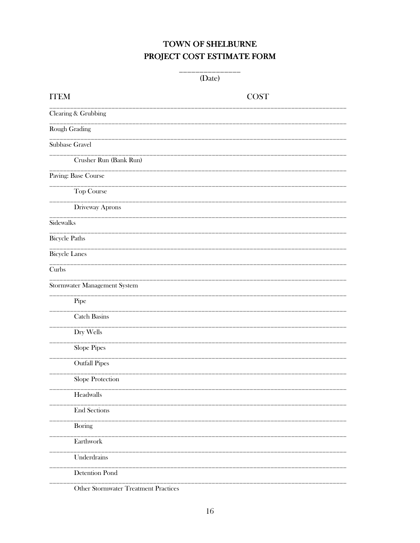# TOWN OF SHELBURNE PROJECT COST ESTIMATE FORM

 $\overline{\phantom{0}}$ 

| <b>ITEM</b>                          | <b>COST</b> |
|--------------------------------------|-------------|
| Clearing & Grubbing                  |             |
| Rough Grading                        |             |
| Subbase Gravel                       |             |
| Crusher Run (Bank Run)               |             |
| Paving: Base Course                  |             |
| Top Course                           |             |
| Driveway Aprons                      |             |
| Sidewalks                            |             |
| <b>Bicycle Paths</b>                 |             |
| <b>Bicycle Lanes</b>                 |             |
| Curbs                                |             |
| Stormwater Management System         |             |
| Pipe                                 |             |
| <b>Catch Basins</b>                  |             |
| Dry Wells                            |             |
| Slope Pipes                          |             |
| <b>Outfall Pipes</b>                 |             |
| Slope Protection                     |             |
| Headwalls                            |             |
| <b>End Sections</b>                  |             |
| <b>Boring</b>                        |             |
| Earthwork                            |             |
| Underdrains                          |             |
| <b>Detention Pond</b>                |             |
| Other Stormwater Treatment Practices |             |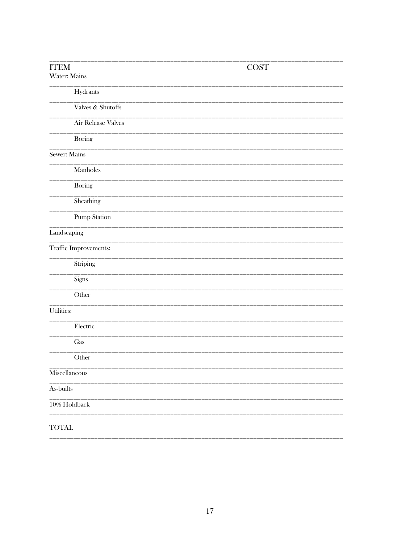| <b>ITEM</b><br>Water: Mains | <b>COST</b> |
|-----------------------------|-------------|
| Hydrants                    |             |
| Valves & Shutoffs           |             |
| Air Release Valves          |             |
| Boring                      |             |
| Sewer: Mains                |             |
| Manholes                    |             |
| Boring                      |             |
| Sheathing                   |             |
| Pump Station                |             |
| Landscaping                 |             |
| Traffic Improvements:       |             |
| Striping                    |             |
| Signs                       |             |
| Other                       |             |
| Utilities:                  |             |
| Electric                    |             |
| Gas                         |             |
| Other                       |             |
| Miscellaneous               |             |
| As-builts                   |             |
| 10% Holdback                |             |
| <b>TOTAL</b>                |             |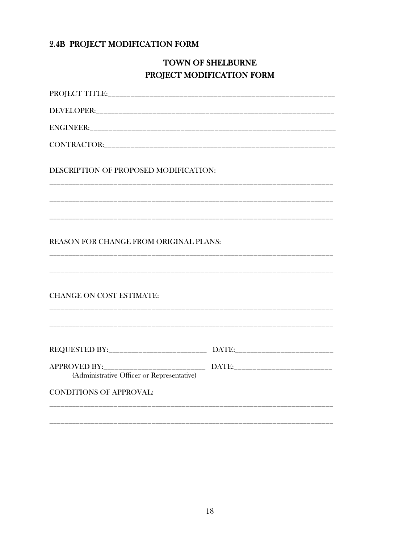# 2.4B PROJECT MODIFICATION FORM

# TOWN OF SHELBURNE PROJECT MODIFICATION FORM

| DESCRIPTION OF PROPOSED MODIFICATION:      |  |
|--------------------------------------------|--|
|                                            |  |
| REASON FOR CHANGE FROM ORIGINAL PLANS:     |  |
| <b>CHANGE ON COST ESTIMATE:</b>            |  |
|                                            |  |
| (Administrative Officer or Representative) |  |
| <b>CONDITIONS OF APPROVAL:</b>             |  |
|                                            |  |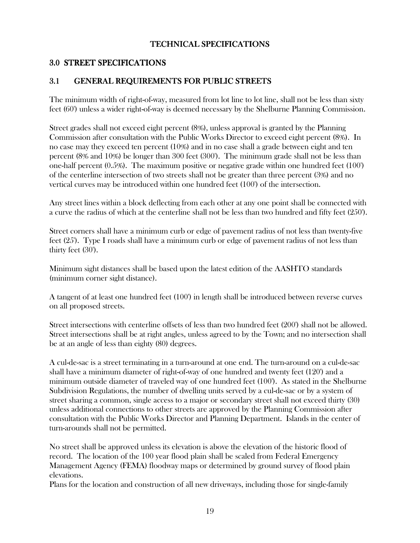#### TECHNICAL SPECIFICATIONS

#### 3.0 STREET SPECIFICATIONS

## 3.1 GENERAL REQUIREMENTS FOR PUBLIC STREETS

The minimum width of right-of-way, measured from lot line to lot line, shall not be less than sixty feet (60') unless a wider right-of-way is deemed necessary by the Shelburne Planning Commission.

Street grades shall not exceed eight percent (8%), unless approval is granted by the Planning Commission after consultation with the Public Works Director to exceed eight percent (8%). In no case may they exceed ten percent (10%) and in no case shall a grade between eight and ten percent (8% and 10%) be longer than 300 feet (300'). The minimum grade shall not be less than one-half percent (0.5%). The maximum positive or negative grade within one hundred feet (100') of the centerline intersection of two streets shall not be greater than three percent (3%) and no vertical curves may be introduced within one hundred feet (100') of the intersection.

Any street lines within a block deflecting from each other at any one point shall be connected with a curve the radius of which at the centerline shall not be less than two hundred and fifty feet (250').

Street corners shall have a minimum curb or edge of pavement radius of not less than twenty-five feet (25'). Type I roads shall have a minimum curb or edge of pavement radius of not less than thirty feet (30').

Minimum sight distances shall be based upon the latest edition of the AASHTO standards (minimum corner sight distance).

A tangent of at least one hundred feet (100') in length shall be introduced between reverse curves on all proposed streets.

Street intersections with centerline offsets of less than two hundred feet (200') shall not be allowed. Street intersections shall be at right angles, unless agreed to by the Town; and no intersection shall be at an angle of less than eighty (80) degrees.

A cul-de-sac is a street terminating in a turn-around at one end. The turn-around on a cul-de-sac shall have a minimum diameter of right-of-way of one hundred and twenty feet (120') and a minimum outside diameter of traveled way of one hundred feet (100'). As stated in the Shelburne Subdivision Regulations, the number of dwelling units served by a cul-de-sac or by a system of street sharing a common, single access to a major or secondary street shall not exceed thirty (30) unless additional connections to other streets are approved by the Planning Commission after consultation with the Public Works Director and Planning Department. Islands in the center of turn-arounds shall not be permitted.

No street shall be approved unless its elevation is above the elevation of the historic flood of record. The location of the 100 year flood plain shall be scaled from Federal Emergency Management Agency (FEMA) floodway maps or determined by ground survey of flood plain elevations.

Plans for the location and construction of all new driveways, including those for single-family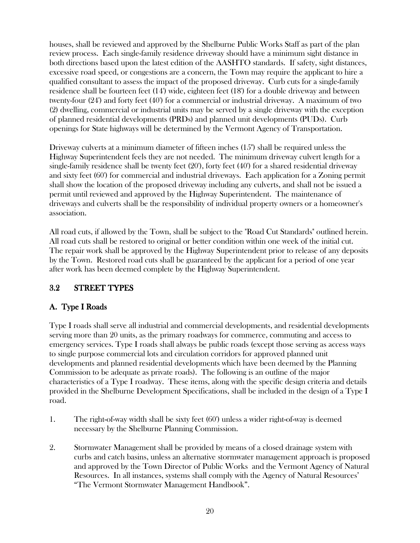houses, shall be reviewed and approved by the Shelburne Public Works Staff as part of the plan review process. Each single-family residence driveway should have a minimum sight distance in both directions based upon the latest edition of the AASHTO standards. If safety, sight distances, excessive road speed, or congestions are a concern, the Town may require the applicant to hire a qualified consultant to assess the impact of the proposed driveway. Curb cuts for a single-family residence shall be fourteen feet (14') wide, eighteen feet (18') for a double driveway and between twenty-four (24') and forty feet (40') for a commercial or industrial driveway. A maximum of two (2) dwelling, commercial or industrial units may be served by a single driveway with the exception of planned residential developments (PRDs) and planned unit developments (PUDs). Curb openings for State highways will be determined by the Vermont Agency of Transportation.

Driveway culverts at a minimum diameter of fifteen inches (15") shall be required unless the Highway Superintendent feels they are not needed. The minimum driveway culvert length for a single-family residence shall be twenty feet (20'), forty feet (40') for a shared residential driveway and sixty feet (60') for commercial and industrial driveways. Each application for a Zoning permit shall show the location of the proposed driveway including any culverts, and shall not be issued a permit until reviewed and approved by the Highway Superintendent. The maintenance of driveways and culverts shall be the responsibility of individual property owners or a homeowner's association.

All road cuts, if allowed by the Town, shall be subject to the "Road Cut Standards" outlined herein. All road cuts shall be restored to original or better condition within one week of the initial cut. The repair work shall be approved by the Highway Superintendent prior to release of any deposits by the Town. Restored road cuts shall be guaranteed by the applicant for a period of one year after work has been deemed complete by the Highway Superintendent.

# 3.2 STREET TYPES

#### A. Type I Roads

Type I roads shall serve all industrial and commercial developments, and residential developments serving more than 20 units, as the primary roadways for commerce, commuting and access to emergency services. Type I roads shall always be public roads (except those serving as access ways to single purpose commercial lots and circulation corridors for approved planned unit developments and planned residential developments which have been deemed by the Planning Commission to be adequate as private roads). The following is an outline of the major characteristics of a Type I roadway. These items, along with the specific design criteria and details provided in the Shelburne Development Specifications, shall be included in the design of a Type I road.

- 1. The right-of-way width shall be sixty feet (60') unless a wider right-of-way is deemed necessary by the Shelburne Planning Commission.
- 2. Stormwater Management shall be provided by means of a closed drainage system with curbs and catch basins, unless an alternative stormwater management approach is proposed and approved by the Town Director of Public Works and the Vermont Agency of Natural Resources. In all instances, systems shall comply with the Agency of Natural Resources' "The Vermont Stormwater Management Handbook".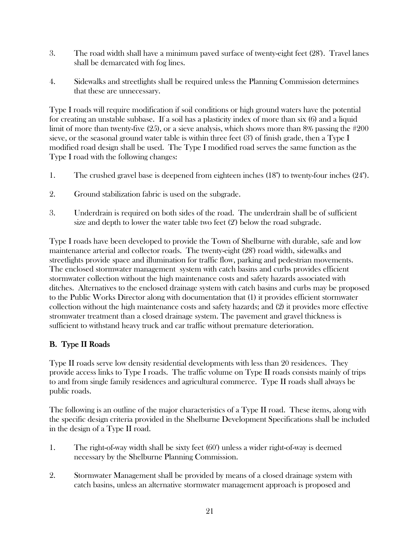- 3. The road width shall have a minimum paved surface of twenty-eight feet (28'). Travel lanes shall be demarcated with fog lines.
- 4. Sidewalks and streetlights shall be required unless the Planning Commission determines that these are unnecessary.

Type I roads will require modification if soil conditions or high ground waters have the potential for creating an unstable subbase. If a soil has a plasticity index of more than six (6) and a liquid limit of more than twenty-five (25), or a sieve analysis, which shows more than 8% passing the #200 sieve, or the seasonal ground water table is within three feet (3') of finish grade, then a Type I modified road design shall be used. The Type I modified road serves the same function as the Type I road with the following changes:

- 1. The crushed gravel base is deepened from eighteen inches (18") to twenty-four inches (24").
- 2. Ground stabilization fabric is used on the subgrade.
- 3. Underdrain is required on both sides of the road. The underdrain shall be of sufficient size and depth to lower the water table two feet (2') below the road subgrade.

Type I roads have been developed to provide the Town of Shelburne with durable, safe and low maintenance arterial and collector roads. The twenty-eight (28') road width, sidewalks and streetlights provide space and illumination for traffic flow, parking and pedestrian movements. The enclosed stormwater management system with catch basins and curbs provides efficient stormwater collection without the high maintenance costs and safety hazards associated with ditches. Alternatives to the enclosed drainage system with catch basins and curbs may be proposed to the Public Works Director along with documentation that (1) it provides efficient stormwater collection without the high maintenance costs and safety hazards; and (2) it provides more effective stromwater treatment than a closed drainage system. The pavement and gravel thickness is sufficient to withstand heavy truck and car traffic without premature deterioration.

#### B. Type II Roads

Type II roads serve low density residential developments with less than 20 residences. They provide access links to Type I roads. The traffic volume on Type II roads consists mainly of trips to and from single family residences and agricultural commerce. Type II roads shall always be public roads.

The following is an outline of the major characteristics of a Type II road. These items, along with the specific design criteria provided in the Shelburne Development Specifications shall be included in the design of a Type II road.

- 1. The right-of-way width shall be sixty feet (60') unless a wider right-of-way is deemed necessary by the Shelburne Planning Commission.
- 2. Stormwater Management shall be provided by means of a closed drainage system with catch basins, unless an alternative stormwater management approach is proposed and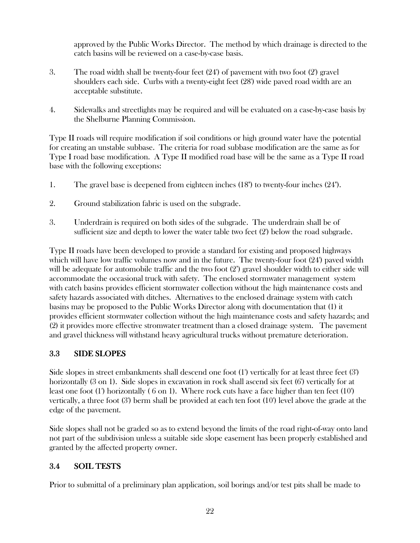approved by the Public Works Director. The method by which drainage is directed to the catch basins will be reviewed on a case-by-case basis.

- 3. The road width shall be twenty-four feet (24') of pavement with two foot (2') gravel shoulders each side. Curbs with a twenty-eight feet (28') wide paved road width are an acceptable substitute.
- 4. Sidewalks and streetlights may be required and will be evaluated on a case-by-case basis by the Shelburne Planning Commission.

Type II roads will require modification if soil conditions or high ground water have the potential for creating an unstable subbase. The criteria for road subbase modification are the same as for Type I road base modification. A Type II modified road base will be the same as a Type II road base with the following exceptions:

- 1. The gravel base is deepened from eighteen inches (18") to twenty-four inches (24").
- 2. Ground stabilization fabric is used on the subgrade.
- 3. Underdrain is required on both sides of the subgrade. The underdrain shall be of sufficient size and depth to lower the water table two feet (2') below the road subgrade.

Type II roads have been developed to provide a standard for existing and proposed highways which will have low traffic volumes now and in the future. The twenty-four foot (24') paved width will be adequate for automobile traffic and the two foot (2') gravel shoulder width to either side will accommodate the occasional truck with safety. The enclosed stormwater management system with catch basins provides efficient stormwater collection without the high maintenance costs and safety hazards associated with ditches. Alternatives to the enclosed drainage system with catch basins may be proposed to the Public Works Director along with documentation that (1) it provides efficient stormwater collection without the high maintenance costs and safety hazards; and (2) it provides more effective stromwater treatment than a closed drainage system. The pavement and gravel thickness will withstand heavy agricultural trucks without premature deterioration.

#### 3.3 SIDE SLOPES

Side slopes in street embankments shall descend one foot (1') vertically for at least three feet (3') horizontally (3 on 1). Side slopes in excavation in rock shall ascend six feet (6') vertically for at least one foot (1') horizontally ( 6 on 1). Where rock cuts have a face higher than ten feet (10') vertically, a three foot (3') berm shall be provided at each ten foot (10') level above the grade at the edge of the pavement.

Side slopes shall not be graded so as to extend beyond the limits of the road right-of-way onto land not part of the subdivision unless a suitable side slope easement has been properly established and granted by the affected property owner.

# 3.4 SOIL TESTS

Prior to submittal of a preliminary plan application, soil borings and/or test pits shall be made to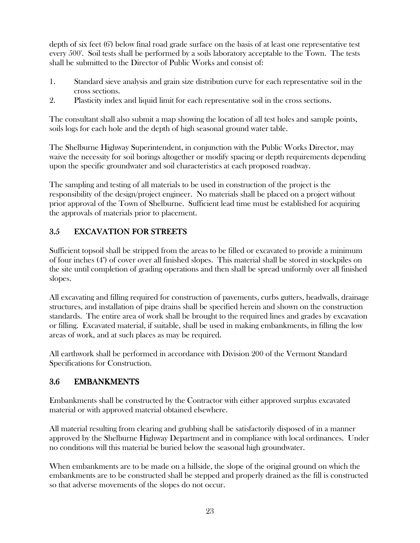depth of six feet (6') below final road grade surface on the basis of at least one representative test every 500'. Soil tests shall be performed by a soils laboratory acceptable to the Town. The tests shall be submitted to the Director of Public Works and consist of:

- 1. Standard sieve analysis and grain size distribution curve for each representative soil in the cross sections.
- 2. Plasticity index and liquid limit for each representative soil in the cross sections.

The consultant shall also submit a map showing the location of all test holes and sample points, soils logs for each hole and the depth of high seasonal ground water table.

The Shelburne Highway Superintendent, in conjunction with the Public Works Director, may waive the necessity for soil borings altogether or modify spacing or depth requirements depending upon the specific groundwater and soil characteristics at each proposed roadway.

The sampling and testing of all materials to be used in construction of the project is the responsibility of the design/project engineer. No materials shall be placed on a project without prior approval of the Town of Shelburne. Sufficient lead time must be established for acquiring the approvals of materials prior to placement.

# 3.5 EXCAVATION FOR STREETS

Sufficient topsoil shall be stripped from the areas to be filled or excavated to provide a minimum of four inches (4") of cover over all finished slopes. This material shall be stored in stockpiles on the site until completion of grading operations and then shall be spread uniformly over all finished slopes.

All excavating and filling required for construction of pavements, curbs gutters, headwalls, drainage structures, and installation of pipe drains shall be specified herein and shown on the construction standards. The entire area of work shall be brought to the required lines and grades by excavation or filling. Excavated material, if suitable, shall be used in making embankments, in filling the low areas of work, and at such places as may be required.

All earthwork shall be performed in accordance with Division 200 of the Vermont Standard Specifications for Construction.

# 3.6 EMBANKMENTS

Embankments shall be constructed by the Contractor with either approved surplus excavated material or with approved material obtained elsewhere.

All material resulting from clearing and grubbing shall be satisfactorily disposed of in a manner approved by the Shelburne Highway Department and in compliance with local ordinances. Under no conditions will this material be buried below the seasonal high groundwater.

When embankments are to be made on a hillside, the slope of the original ground on which the embankments are to be constructed shall be stepped and properly drained as the fill is constructed so that adverse movements of the slopes do not occur.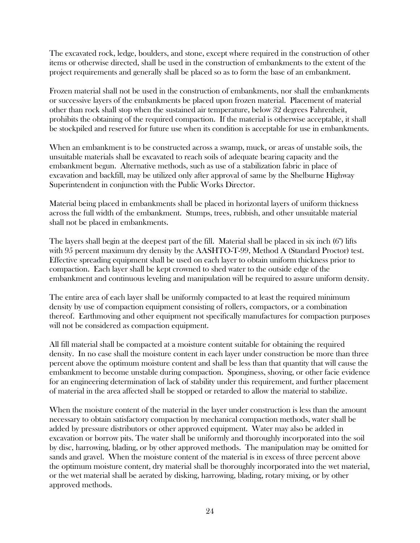The excavated rock, ledge, boulders, and stone, except where required in the construction of other items or otherwise directed, shall be used in the construction of embankments to the extent of the project requirements and generally shall be placed so as to form the base of an embankment.

Frozen material shall not be used in the construction of embankments, nor shall the embankments or successive layers of the embankments be placed upon frozen material. Placement of material other than rock shall stop when the sustained air temperature, below 32 degrees Fahrenheit, prohibits the obtaining of the required compaction. If the material is otherwise acceptable, it shall be stockpiled and reserved for future use when its condition is acceptable for use in embankments.

When an embankment is to be constructed across a swamp, muck, or areas of unstable soils, the unsuitable materials shall be excavated to reach soils of adequate bearing capacity and the embankment begun. Alternative methods, such as use of a stabilization fabric in place of excavation and backfill, may be utilized only after approval of same by the Shelburne Highway Superintendent in conjunction with the Public Works Director.

Material being placed in embankments shall be placed in horizontal layers of uniform thickness across the full width of the embankment. Stumps, trees, rubbish, and other unsuitable material shall not be placed in embankments.

The layers shall begin at the deepest part of the fill. Material shall be placed in six inch (6") lifts with 95 percent maximum dry density by the AASHTO-T-99, Method A (Standard Proctor) test. Effective spreading equipment shall be used on each layer to obtain uniform thickness prior to compaction. Each layer shall be kept crowned to shed water to the outside edge of the embankment and continuous leveling and manipulation will be required to assure uniform density.

The entire area of each layer shall be uniformly compacted to at least the required minimum density by use of compaction equipment consisting of rollers, compactors, or a combination thereof. Earthmoving and other equipment not specifically manufactures for compaction purposes will not be considered as compaction equipment.

All fill material shall be compacted at a moisture content suitable for obtaining the required density. In no case shall the moisture content in each layer under construction be more than three percent above the optimum moisture content and shall be less than that quantity that will cause the embankment to become unstable during compaction. Sponginess, shoving, or other facie evidence for an engineering determination of lack of stability under this requirement, and further placement of material in the area affected shall be stopped or retarded to allow the material to stabilize.

When the moisture content of the material in the layer under construction is less than the amount necessary to obtain satisfactory compaction by mechanical compaction methods, water shall be added by pressure distributors or other approved equipment. Water may also be added in excavation or borrow pits. The water shall be uniformly and thoroughly incorporated into the soil by disc, harrowing, blading, or by other approved methods. The manipulation may be omitted for sands and gravel. When the moisture content of the material is in excess of three percent above the optimum moisture content, dry material shall be thoroughly incorporated into the wet material, or the wet material shall be aerated by disking, harrowing, blading, rotary mixing, or by other approved methods.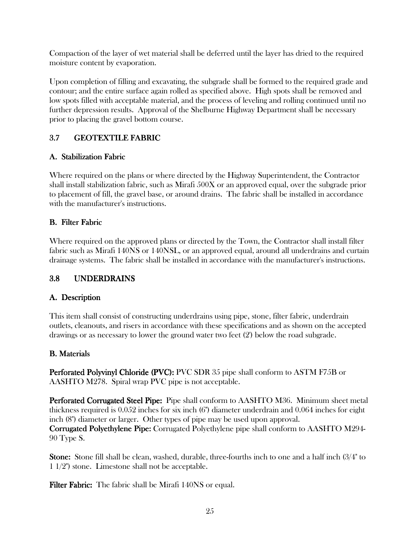Compaction of the layer of wet material shall be deferred until the layer has dried to the required moisture content by evaporation.

Upon completion of filling and excavating, the subgrade shall be formed to the required grade and contour; and the entire surface again rolled as specified above. High spots shall be removed and low spots filled with acceptable material, and the process of leveling and rolling continued until no further depression results. Approval of the Shelburne Highway Department shall be necessary prior to placing the gravel bottom course.

# 3.7 GEOTEXTILE FABRIC

## A. Stabilization Fabric

Where required on the plans or where directed by the Highway Superintendent, the Contractor shall install stabilization fabric, such as Mirafi 500X or an approved equal, over the subgrade prior to placement of fill, the gravel base, or around drains. The fabric shall be installed in accordance with the manufacturer's instructions.

# **B.** Filter Fabric

Where required on the approved plans or directed by the Town, the Contractor shall install filter fabric such as Mirafi 140NS or 140NSL, or an approved equal, around all underdrains and curtain drainage systems. The fabric shall be installed in accordance with the manufacturer's instructions.

# 3.8 UNDERDRAINS

# A. Description A. Description

This item shall consist of constructing underdrains using pipe, stone, filter fabric, underdrain outlets, cleanouts, and risers in accordance with these specifications and as shown on the accepted drawings or as necessary to lower the ground water two feet (2') below the road subgrade.

#### **B.** Materials

Perforated Polyvinyl Chloride (PVC): PVC SDR 35 pipe shall conform to ASTM F75B or AASHTO M278. Spiral wrap PVC pipe is not acceptable.

Perforated Corrugated Steel Pipe: Pipe shall conform to AASHTO M36. Minimum sheet metal thickness required is 0.052 inches for six inch (6") diameter underdrain and 0.064 inches for eight inch (8") diameter or larger. Other types of pipe may be used upon approval. **Corrugated Polyethylene Pipe:** Corrugated Polyethylene pipe shall conform to AASHTO M294-90 Type S.

**Stone:** Stone fill shall be clean, washed, durable, three-fourths inch to one and a half inch (3/4" to 1 1/2") stone. Limestone shall not be acceptable.

**Filter Fabric:** The fabric shall be Mirafi 140NS or equal.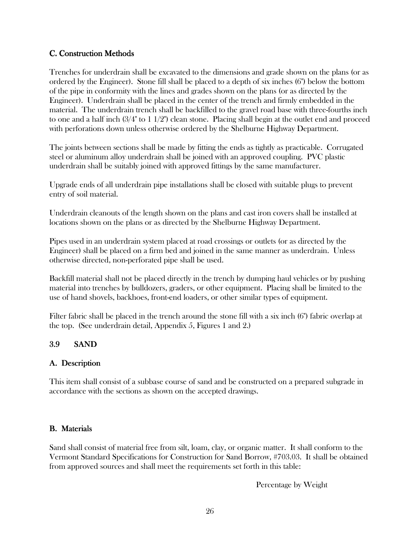#### C. Construction Methods

Trenches for underdrain shall be excavated to the dimensions and grade shown on the plans (or as ordered by the Engineer). Stone fill shall be placed to a depth of six inches (6") below the bottom of the pipe in conformity with the lines and grades shown on the plans (or as directed by the Engineer). Underdrain shall be placed in the center of the trench and firmly embedded in the material. The underdrain trench shall be backfilled to the gravel road base with three-fourths inch to one and a half inch  $(3/4"$  to  $1\frac{1}{2}$ ") clean stone. Placing shall begin at the outlet end and proceed with perforations down unless otherwise ordered by the Shelburne Highway Department.

The joints between sections shall be made by fitting the ends as tightly as practicable. Corrugated steel or aluminum alloy underdrain shall be joined with an approved coupling. PVC plastic underdrain shall be suitably joined with approved fittings by the same manufacturer.

Upgrade ends of all underdrain pipe installations shall be closed with suitable plugs to prevent entry of soil material.

Underdrain cleanouts of the length shown on the plans and cast iron covers shall be installed at locations shown on the plans or as directed by the Shelburne Highway Department.

Pipes used in an underdrain system placed at road crossings or outlets (or as directed by the Engineer) shall be placed on a firm bed and joined in the same manner as underdrain. Unless otherwise directed, non-perforated pipe shall be used.

Backfill material shall not be placed directly in the trench by dumping haul vehicles or by pushing material into trenches by bulldozers, graders, or other equipment. Placing shall be limited to the use of hand shovels, backhoes, front-end loaders, or other similar types of equipment.

Filter fabric shall be placed in the trench around the stone fill with a six inch (6") fabric overlap at the top. (See underdrain detail, Appendix 5, Figures 1 and 2.)

#### 3.9 SAND

#### A. Description A. Description

This item shall consist of a subbase course of sand and be constructed on a prepared subgrade in accordance with the sections as shown on the accepted drawings.

#### **B.** Materials

Sand shall consist of material free from silt, loam, clay, or organic matter. It shall conform to the Vermont Standard Specifications for Construction for Sand Borrow, #703.03. It shall be obtained from approved sources and shall meet the requirements set forth in this table:

Percentage by Weight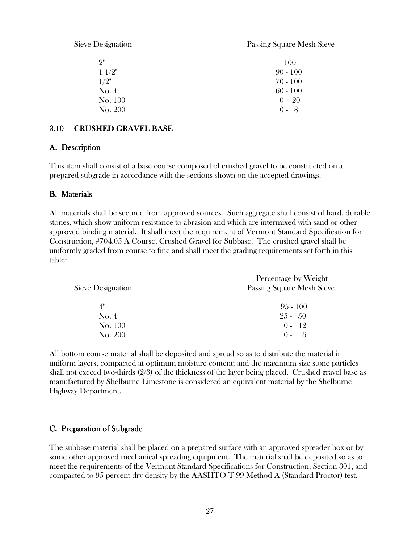Sieve Designation Passing Square Mesh Sieve

| 9"             | 100        |
|----------------|------------|
| $1\frac{1}{2}$ | $90 - 100$ |
| 1/2"           | 70 - 100   |
| No. 4          | $60 - 100$ |
| No. 100        | $0 - 20$   |
| No. 200        | $0 - 8$    |

#### 3.10 CRUSHED GRAVEL BASE

#### A. Description A. Description

This item shall consist of a base course composed of crushed gravel to be constructed on a prepared subgrade in accordance with the sections shown on the accepted drawings.

#### **B.** Materials

All materials shall be secured from approved sources. Such aggregate shall consist of hard, durable stones, which show uniform resistance to abrasion and which are intermixed with sand or other approved binding material. It shall meet the requirement of Vermont Standard Specification for Construction, #704.05 A Course, Crushed Gravel for Subbase. The crushed gravel shall be uniformly graded from course to fine and shall meet the grading requirements set forth in this table:

| Sieve Designation | Percentage by Weight<br><b>Passing Square Mesh Sieve</b> |
|-------------------|----------------------------------------------------------|
| 4"                | $95 - 100$                                               |
| $\mathrm{No.}4$   | $25 - 50$                                                |
| No. 100           | $0 - 12$                                                 |
| No. 200           | 6<br>$() =$                                              |

All bottom course material shall be deposited and spread so as to distribute the material in uniform layers, compacted at optimum moisture content; and the maximum size stone particles shall not exceed two-thirds (2/3) of the thickness of the layer being placed. Crushed gravel base as manufactured by Shelburne Limestone is considered an equivalent material by the Shelburne Highway Department.

#### C. Preparation of Subgrade

The subbase material shall be placed on a prepared surface with an approved spreader box or by some other approved mechanical spreading equipment. The material shall be deposited so as to meet the requirements of the Vermont Standard Specifications for Construction, Section 301, and compacted to 95 percent dry density by the AASHTO-T-99 Method A (Standard Proctor) test.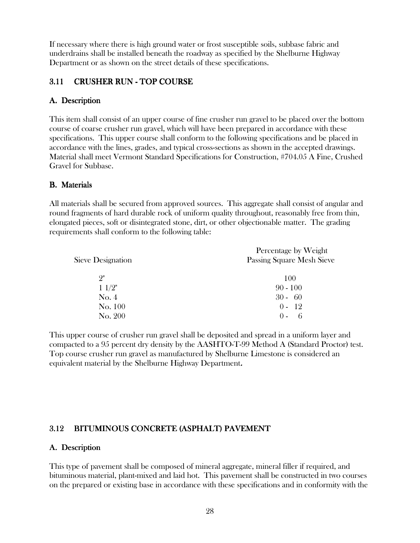If necessary where there is high ground water or frost susceptible soils, subbase fabric and underdrains shall be installed beneath the roadway as specified by the Shelburne Highway Department or as shown on the street details of these specifications.

## 3.11 CRUSHER RUN - TOP COURSE

## A. Description A. Description

This item shall consist of an upper course of fine crusher run gravel to be placed over the bottom course of coarse crusher run gravel, which will have been prepared in accordance with these specifications. This upper course shall conform to the following specifications and be placed in accordance with the lines, grades, and typical cross-sections as shown in the accepted drawings. Material shall meet Vermont Standard Specifications for Construction, #704.05 A Fine, Crushed Gravel for Subbase.

#### **B.** Materials

All materials shall be secured from approved sources. This aggregate shall consist of angular and round fragments of hard durable rock of uniform quality throughout, reasonably free from thin, elongated pieces, soft or disintegrated stone, dirt, or other objectionable matter. The grading requirements shall conform to the following table:

| Sieve Designation | Percentage by Weight<br>Passing Square Mesh Sieve |
|-------------------|---------------------------------------------------|
| 9"                | 100                                               |
| 11/2"             | $90 - 100$                                        |
| No. 4             | $30 - 60$                                         |
| No. 100           | $0 - 12$                                          |
| No. 200           | 6                                                 |

This upper course of crusher run gravel shall be deposited and spread in a uniform layer and compacted to a 95 percent dry density by the AASHTO-T-99 Method A (Standard Proctor) test. Top course crusher run gravel as manufactured by Shelburne Limestone is considered an equivalent material by the Shelburne Highway Department.

# 3.12 BITUMINOUS CONCRETE (ASPHALT) PAVEMENT

#### A. Description

This type of pavement shall be composed of mineral aggregate, mineral filler if required, and bituminous material, plant-mixed and laid hot. This pavement shall be constructed in two courses on the prepared or existing base in accordance with these specifications and in conformity with the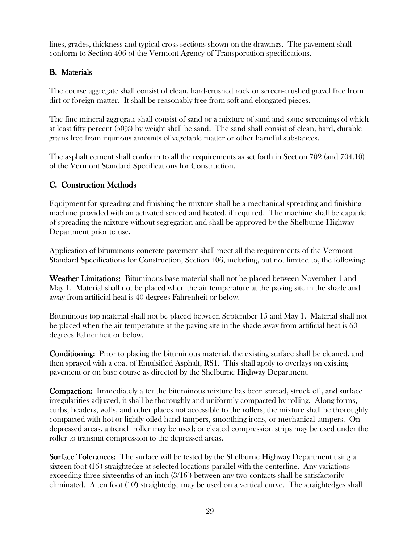lines, grades, thickness and typical cross-sections shown on the drawings. The pavement shall conform to Section 406 of the Vermont Agency of Transportation specifications.

## **B.** Materials

The course aggregate shall consist of clean, hard-crushed rock or screen-crushed gravel free from dirt or foreign matter. It shall be reasonably free from soft and elongated pieces.

The fine mineral aggregate shall consist of sand or a mixture of sand and stone screenings of which at least fifty percent (50%) by weight shall be sand. The sand shall consist of clean, hard, durable grains free from injurious amounts of vegetable matter or other harmful substances.

The asphalt cement shall conform to all the requirements as set forth in Section 702 (and 704.10) of the Vermont Standard Specifications for Construction.

# C. Construction Methods

Equipment for spreading and finishing the mixture shall be a mechanical spreading and finishing machine provided with an activated screed and heated, if required. The machine shall be capable of spreading the mixture without segregation and shall be approved by the Shelburne Highway Department prior to use.

Application of bituminous concrete pavement shall meet all the requirements of the Vermont Standard Specifications for Construction, Section 406, including, but not limited to, the following:

Weather Limitations: Bituminous base material shall not be placed between November 1 and May 1. Material shall not be placed when the air temperature at the paving site in the shade and away from artificial heat is 40 degrees Fahrenheit or below.

Bituminous top material shall not be placed between September 15 and May 1. Material shall not be placed when the air temperature at the paving site in the shade away from artificial heat is 60 degrees Fahrenheit or below.

**Conditioning:** Prior to placing the bituminous material, the existing surface shall be cleaned, and then sprayed with a coat of Emulsified Asphalt, RS1. This shall apply to overlays on existing pavement or on base course as directed by the Shelburne Highway Department.

**Compaction:** Immediately after the bituminous mixture has been spread, struck off, and surface irregularities adjusted, it shall be thoroughly and uniformly compacted by rolling. Along forms, curbs, headers, walls, and other places not accessible to the rollers, the mixture shall be thoroughly compacted with hot or lightly oiled hand tampers, smoothing irons, or mechanical tampers. On depressed areas, a trench roller may be used; or cleated compression strips may be used under the roller to transmit compression to the depressed areas.

**Surface Tolerances:** The surface will be tested by the Shelburne Highway Department using a sixteen foot (16') straightedge at selected locations parallel with the centerline. Any variations exceeding three-sixteenths of an inch (3/16") between any two contacts shall be satisfactorily eliminated. A ten foot (10') straightedge may be used on a vertical curve. The straightedges shall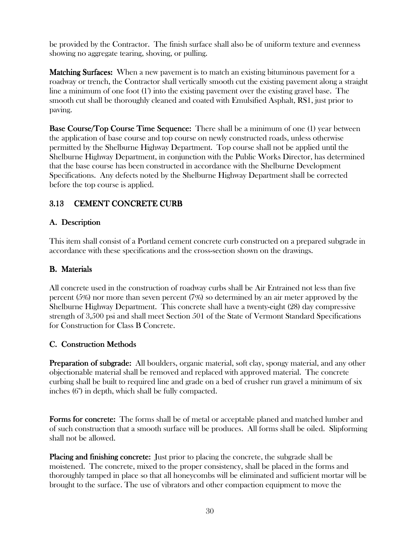be provided by the Contractor. The finish surface shall also be of uniform texture and evenness showing no aggregate tearing, shoving, or pulling.

**Matching Surfaces:** When a new pavement is to match an existing bituminous pavement for a roadway or trench, the Contractor shall vertically smooth cut the existing pavement along a straight line a minimum of one foot (1') into the existing pavement over the existing gravel base. The smooth cut shall be thoroughly cleaned and coated with Emulsified Asphalt, RS1, just prior to paving.

**Base Course/Top Course Time Sequence:** There shall be a minimum of one (1) year between the application of base course and top course on newly constructed roads, unless otherwise permitted by the Shelburne Highway Department. Top course shall not be applied until the Shelburne Highway Department, in conjunction with the Public Works Director, has determined that the base course has been constructed in accordance with the Shelburne Development Specifications. Any defects noted by the Shelburne Highway Department shall be corrected before the top course is applied.

# 3.13 CEMENT CONCRETE CURB

## A. Description A. Description

This item shall consist of a Portland cement concrete curb constructed on a prepared subgrade in accordance with these specifications and the cross-section shown on the drawings.

#### **B.** Materials

All concrete used in the construction of roadway curbs shall be Air Entrained not less than five percent (5%) nor more than seven percent (7%) so determined by an air meter approved by the Shelburne Highway Department. This concrete shall have a twenty-eight (28) day compressive strength of 3,500 psi and shall meet Section 501 of the State of Vermont Standard Specifications for Construction for Class B Concrete.

#### C. Construction Methods

**Preparation of subgrade:** All boulders, organic material, soft clay, spongy material, and any other objectionable material shall be removed and replaced with approved material. The concrete curbing shall be built to required line and grade on a bed of crusher run gravel a minimum of six inches (6") in depth, which shall be fully compacted.

**Forms for concrete:** The forms shall be of metal or acceptable planed and matched lumber and of such construction that a smooth surface will be produces. All forms shall be oiled. Slipforming shall not be allowed.

**Placing and finishing concrete:** Just prior to placing the concrete, the subgrade shall be moistened. The concrete, mixed to the proper consistency, shall be placed in the forms and thoroughly tamped in place so that all honeycombs will be eliminated and sufficient mortar will be brought to the surface. The use of vibrators and other compaction equipment to move the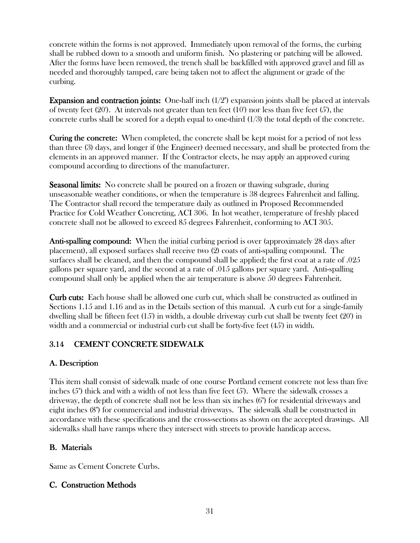concrete within the forms is not approved. Immediately upon removal of the forms, the curbing shall be rubbed down to a smooth and uniform finish. No plastering or patching will be allowed. After the forms have been removed, the trench shall be backfilled with approved gravel and fill as needed and thoroughly tamped, care being taken not to affect the alignment or grade of the curbing.

**Expansion and contraction joints:** One-half inch  $(1/2)$ <sup>"</sup> expansion joints shall be placed at intervals of twenty feet (20'). At intervals not greater than ten feet (10') nor less than five feet (5'), the concrete curbs shall be scored for a depth equal to one-third  $(1/3)$  the total depth of the concrete.

Curing the concrete: When completed, the concrete shall be kept moist for a period of not less than three (3) days, and longer if (the Engineer) deemed necessary, and shall be protected from the elements in an approved manner. If the Contractor elects, he may apply an approved curing compound according to directions of the manufacturer.

**Seasonal limits:** No concrete shall be poured on a frozen or thawing subgrade, during unseasonable weather conditions, or when the temperature is 38 degrees Fahrenheit and falling. The Contractor shall record the temperature daily as outlined in Proposed Recommended Practice for Cold Weather Concreting, ACI 306. In hot weather, temperature of freshly placed concrete shall not be allowed to exceed 85 degrees Fahrenheit, conforming to ACI 305.

Anti-spalling compound: When the initial curbing period is over (approximately 28 days after placement), all exposed surfaces shall receive two (2) coats of anti-spalling compound. The surfaces shall be cleaned, and then the compound shall be applied; the first coat at a rate of .025 gallons per square yard, and the second at a rate of .015 gallons per square yard. Anti-spalling compound shall only be applied when the air temperature is above 50 degrees Fahrenheit.

**Curb cuts:** Each house shall be allowed one curb cut, which shall be constructed as outlined in Sections 1.15 and 1.16 and as in the Details section of this manual. A curb cut for a single-family dwelling shall be fifteen feet (15') in width, a double driveway curb cut shall be twenty feet (20') in width and a commercial or industrial curb cut shall be forty-five feet (45') in width.

# 3.14 CEMENT CONCRETE SIDEWALK

#### A. Description

This item shall consist of sidewalk made of one course Portland cement concrete not less than five inches (5") thick and with a width of not less than five feet (5'). Where the sidewalk crosses a driveway, the depth of concrete shall not be less than six inches (6") for residential driveways and eight inches (8") for commercial and industrial driveways. The sidewalk shall be constructed in accordance with these specifications and the cross-sections as shown on the accepted drawings. All sidewalks shall have ramps where they intersect with streets to provide handicap access.

# **B.** Materials

Same as Cement Concrete Curbs.

#### C. Construction Methods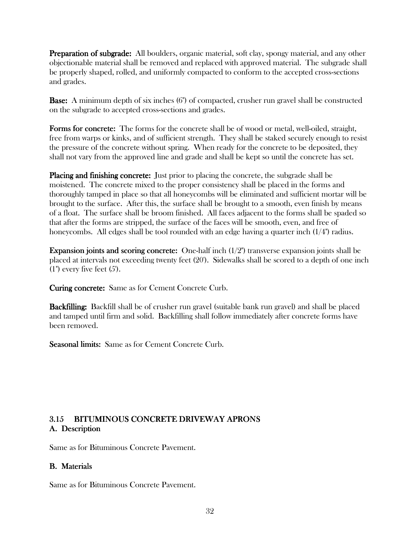**Preparation of subgrade:** All boulders, organic material, soft clay, spongy material, and any other objectionable material shall be removed and replaced with approved material. The subgrade shall be properly shaped, rolled, and uniformly compacted to conform to the accepted cross-sections and grades.

**Base:** A minimum depth of six inches  $(6")$  of compacted, crusher run gravel shall be constructed on the subgrade to accepted cross-sections and grades.

Forms for concrete: The forms for the concrete shall be of wood or metal, well-oiled, straight, free from warps or kinks, and of sufficient strength. They shall be staked securely enough to resist the pressure of the concrete without spring. When ready for the concrete to be deposited, they shall not vary from the approved line and grade and shall be kept so until the concrete has set.

Placing and finishing concrete: Just prior to placing the concrete, the subgrade shall be moistened. The concrete mixed to the proper consistency shall be placed in the forms and thoroughly tamped in place so that all honeycombs will be eliminated and sufficient mortar will be brought to the surface. After this, the surface shall be brought to a smooth, even finish by means of a float. The surface shall be broom finished. All faces adjacent to the forms shall be spaded so that after the forms are stripped, the surface of the faces will be smooth, even, and free of honeycombs. All edges shall be tool rounded with an edge having a quarter inch (1/4") radius.

**Expansion joints and scoring concrete:** One-half inch  $(1/2)$ " transverse expansion joints shall be placed at intervals not exceeding twenty feet (20'). Sidewalks shall be scored to a depth of one inch  $(1")$  every five feet  $(5')$ .

**Curing concrete:** Same as for Cement Concrete Curb.

**Backfilling:** Backfill shall be of crusher run gravel (suitable bank run gravel) and shall be placed and tamped until firm and solid. Backfilling shall follow immediately after concrete forms have been removed.

Seasonal limits: Same as for Cement Concrete Curb.

# 3.15 BITUMINOUS CONCRETE DRIVEWAY APRONS A. Description A. Description

Same as for Bituminous Concrete Pavement.

#### **B.** Materials

Same as for Bituminous Concrete Pavement.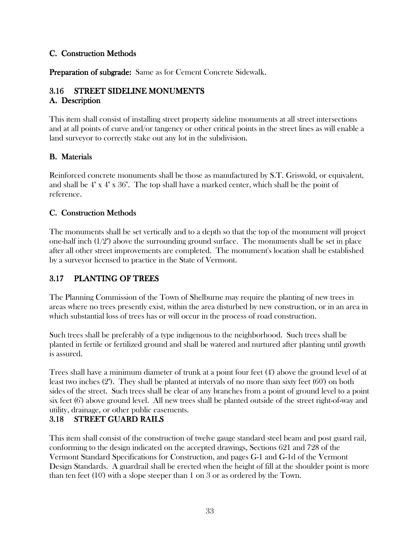#### C. Construction Methods

**Preparation of subgrade:** Same as for Cement Concrete Sidewalk.

# 3.16 STREET SIDELINE MONUMENTS

#### A. Description A. Description

This item shall consist of installing street property sideline monuments at all street intersections and at all points of curve and/or tangency or other critical points in the street lines as will enable a land surveyor to correctly stake out any lot in the subdivision.

## **B.** Materials

Reinforced concrete monuments shall be those as manufactured by S.T. Griswold, or equivalent, and shall be 4" x 4" x 36". The top shall have a marked center, which shall be the point of reference.

## C. Construction Methods

The monuments shall be set vertically and to a depth so that the top of the monument will project one-half inch  $(1/2)$  above the surrounding ground surface. The monuments shall be set in place after all other street improvements are completed. The monument's location shall be established by a surveyor licensed to practice in the State of Vermont.

# 3.17 PLANTING OF TREES

The Planning Commission of the Town of Shelburne may require the planting of new trees in areas where no trees presently exist, within the area disturbed by new construction, or in an area in which substantial loss of trees has or will occur in the process of road construction.

Such trees shall be preferably of a type indigenous to the neighborhood. Such trees shall be planted in fertile or fertilized ground and shall be watered and nurtured after planting until growth is assured.

Trees shall have a minimum diameter of trunk at a point four feet (4') above the ground level of at least two inches (2"). They shall be planted at intervals of no more than sixty feet (60') on both sides of the street. Such trees shall be clear of any branches from a point of ground level to a point six feet (6') above ground level. All new trees shall be planted outside of the street right-of-way and utility, drainage, or other public easements.

# 3.18 STREET GUARD RAILS

This item shall consist of the construction of twelve gauge standard steel beam and post guard rail, conforming to the design indicated on the accepted drawings, Sections 621 and 728 of the Vermont Standard Specifications for Construction, and pages G-1 and G-1d of the Vermont Design Standards. A guardrail shall be erected when the height of fill at the shoulder point is more than ten feet (10') with a slope steeper than 1 on 3 or as ordered by the Town.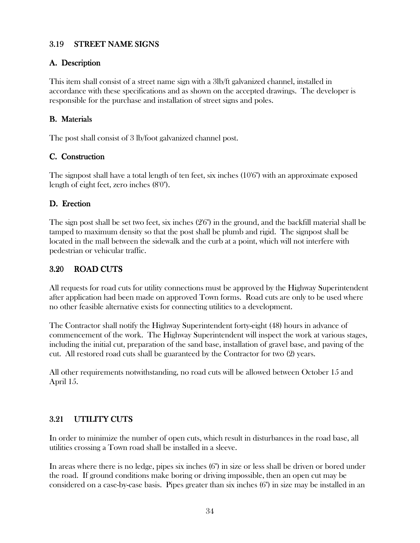#### 3.19 STREET NAME SIGNS

# A. Description A. Description

This item shall consist of a street name sign with a 3lb/ft galvanized channel, installed in accordance with these specifications and as shown on the accepted drawings. The developer is responsible for the purchase and installation of street signs and poles.

## **B.** Materials

The post shall consist of 3 lb/foot galvanized channel post.

## C. Construction

The signpost shall have a total length of ten feet, six inches (10'6") with an approximate exposed length of eight feet, zero inches (8'0").

## D. Erection

The sign post shall be set two feet, six inches (2'6") in the ground, and the backfill material shall be tamped to maximum density so that the post shall be plumb and rigid. The signpost shall be located in the mall between the sidewalk and the curb at a point, which will not interfere with pedestrian or vehicular traffic.

#### 3.20 ROAD CUTS

All requests for road cuts for utility connections must be approved by the Highway Superintendent after application had been made on approved Town forms. Road cuts are only to be used where no other feasible alternative exists for connecting utilities to a development.

The Contractor shall notify the Highway Superintendent forty-eight (48) hours in advance of commencement of the work. The Highway Superintendent will inspect the work at various stages, including the initial cut, preparation of the sand base, installation of gravel base, and paving of the cut. All restored road cuts shall be guaranteed by the Contractor for two (2) years.

All other requirements notwithstanding, no road cuts will be allowed between October 15 and April 15.

# 3.21 UTILITY CUTS

In order to minimize the number of open cuts, which result in disturbances in the road base, all utilities crossing a Town road shall be installed in a sleeve.

In areas where there is no ledge, pipes six inches (6") in size or less shall be driven or bored under the road. If ground conditions make boring or driving impossible, then an open cut may be considered on a case-by-case basis. Pipes greater than six inches (6") in size may be installed in an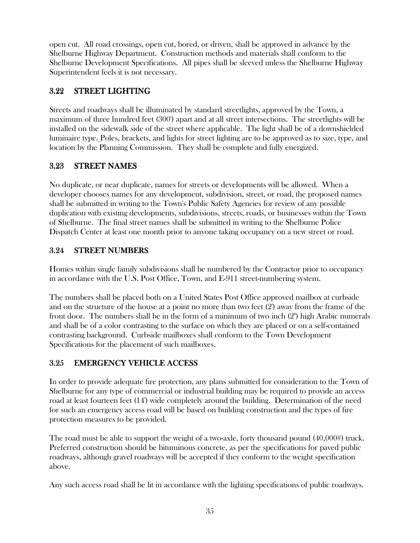open cut. All road crossings, open cut, bored, or driven, shall be approved in advance by the Shelburne Highway Department. Construction methods and materials shall conform to the Shelburne Development Specifications. All pipes shall be sleeved unless the Shelburne Highway Superintendent feels it is not necessary.

# 3.22 STREET LIGHTING

Streets and roadways shall be illuminated by standard streetlights, approved by the Town, a maximum of three hundred feet (300') apart and at all street intersections. The streetlights will be installed on the sidewalk side of the street where applicable. The light shall be of a downshielded luminaire type. Poles, brackets, and lights for street lighting are to be approved as to size, type, and location by the Planning Commission. They shall be complete and fully energized.

# 3.23 STREET NAMES

No duplicate, or near duplicate, names for streets or developments will be allowed. When a developer chooses names for any development, subdivision, street, or road, the proposed names shall be submitted in writing to the Town's Public Safety Agencies for review of any possible duplication with existing developments, subdivisions, streets, roads, or businesses within the Town of Shelburne. The final street names shall be submitted in writing to the Shelburne Police Dispatch Center at least one month prior to anyone taking occupancy on a new street or road.

# 3.24 STREET NUMBERS

Homes within single family subdivisions shall be numbered by the Contractor prior to occupancy in accordance with the U.S. Post Office, Town, and E-911 street-numbering system.

The numbers shall be placed both on a United States Post Office approved mailbox at curbside and on the structure of the house at a point no more than two feet (2') away from the frame of the front door. The numbers shall be in the form of a minimum of two inch (2") high Arabic numerals and shall be of a color contrasting to the surface on which they are placed or on a self-contained contrasting background. Curbside mailboxes shall conform to the Town Development Specifications for the placement of such mailboxes.

# 3.25 EMERGENCY VEHICLE ACCESS

In order to provide adequate fire protection, any plans submitted for consideration to the Town of Shelburne for any type of commercial or industrial building may be required to provide an access road at least fourteen feet (14') wide completely around the building. Determination of the need for such an emergency access road will be based on building construction and the types of fire protection measures to be provided.

The road must be able to support the weight of a two-axle, forty thousand pound  $(40,000\#)$  truck. Preferred construction should be bituminous concrete, as per the specifications for paved public roadways, although gravel roadways will be accepted if they conform to the weight specification above.

Any such access road shall be lit in accordance with the lighting specifications of public roadways.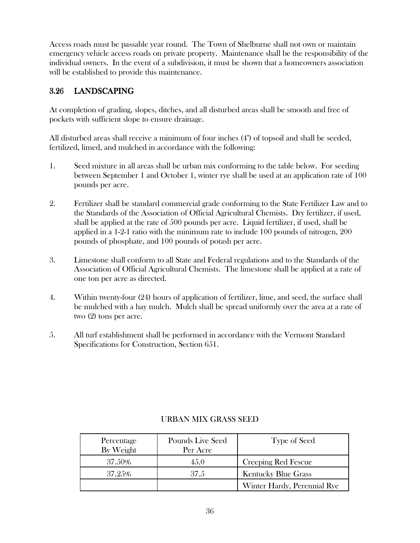Access roads must be passable year round. The Town of Shelburne shall not own or maintain emergency vehicle access roads on private property. Maintenance shall be the responsibility of the individual owners. In the event of a subdivision, it must be shown that a homeowners association will be established to provide this maintenance.

# 3.26 LANDSCAPING

At completion of grading, slopes, ditches, and all disturbed areas shall be smooth and free of pockets with sufficient slope to ensure drainage.

All disturbed areas shall receive a minimum of four inches (4") of topsoil and shall be seeded, fertilized, limed, and mulched in accordance with the following:

- 1. Seed mixture in all areas shall be urban mix conforming to the table below. For seeding between September 1 and October 1, winter rye shall be used at an application rate of 100 pounds per acre.
- 2. Fertilizer shall be standard commercial grade conforming to the State Fertilizer Law and to the Standards of the Association of Official Agricultural Chemists. Dry fertilizer, if used, shall be applied at the rate of 500 pounds per acre. Liquid fertilizer, if used, shall be applied in a 1-2-1 ratio with the minimum rate to include 100 pounds of nitrogen, 200 pounds of phosphate, and 100 pounds of potash per acre.
- 3. Limestone shall conform to all State and Federal regulations and to the Standards of the Association of Official Agricultural Chemists. The limestone shall be applied at a rate of one ton per acre as directed.
- 4. Within twenty-four (24) hours of application of fertilizer, lime, and seed, the surface shall be mulched with a hay mulch. Mulch shall be spread uniformly over the area at a rate of two (2) tons per acre.
- 5. All turf establishment shall be performed in accordance with the Vermont Standard Specifications for Construction, Section 651.

| Percentage<br>By Weight | Pounds Live Seed<br>Per Acre | Type of Seed                |
|-------------------------|------------------------------|-----------------------------|
| 37.50%                  | 45.0                         | Creeping Red Fescue         |
| 37.25%                  | 37.5                         | <b>Kentucky Blue Grass</b>  |
|                         |                              | Winter Hardy, Perennial Rye |

# URBAN MIX GRASS SEED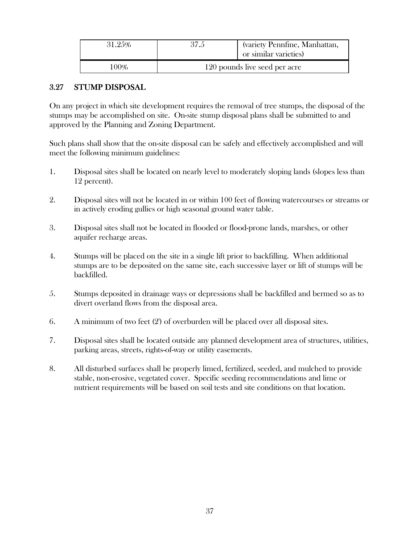| 31.25% | 37.5                          | (variety Pennfine, Manhattan,<br>or similar varieties) |
|--------|-------------------------------|--------------------------------------------------------|
| 100%   | 120 pounds live seed per acre |                                                        |

## 3.27 STUMP DISPOSAL

On any project in which site development requires the removal of tree stumps, the disposal of the stumps may be accomplished on site. On-site stump disposal plans shall be submitted to and approved by the Planning and Zoning Department.

Such plans shall show that the on-site disposal can be safely and effectively accomplished and will meet the following minimum guidelines:

- 1. Disposal sites shall be located on nearly level to moderately sloping lands (slopes less than 12 percent).
- 2. Disposal sites will not be located in or within 100 feet of flowing watercourses or streams or in actively eroding gullies or high seasonal ground water table.
- 3. Disposal sites shall not be located in flooded or flood-prone lands, marshes, or other aquifer recharge areas.
- 4. Stumps will be placed on the site in a single lift prior to backfilling. When additional stumps are to be deposited on the same site, each successive layer or lift of stumps will be backfilled.
- 5. Stumps deposited in drainage ways or depressions shall be backfilled and bermed so as to divert overland flows from the disposal area.
- 6. A minimum of two feet (2') of overburden will be placed over all disposal sites.
- 7. Disposal sites shall be located outside any planned development area of structures, utilities, parking areas, streets, rights-of-way or utility easements.
- 8. All disturbed surfaces shall be properly limed, fertilized, seeded, and mulched to provide stable, non-erosive, vegetated cover. Specific seeding recommendations and lime or nutrient requirements will be based on soil tests and site conditions on that location.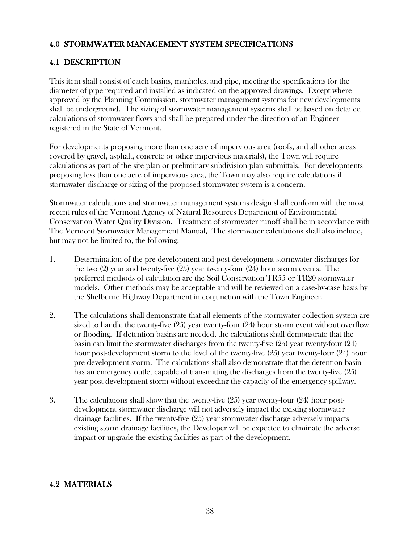## 4.0 STORMWATER MANAGEMENT SYSTEM SPECIFICATIONS

# 4.1 DESCRIPTION

This item shall consist of catch basins, manholes, and pipe, meeting the specifications for the diameter of pipe required and installed as indicated on the approved drawings. Except where approved by the Planning Commission, stormwater management systems for new developments shall be underground. The sizing of stormwater management systems shall be based on detailed calculations of stormwater flows and shall be prepared under the direction of an Engineer registered in the State of Vermont.

For developments proposing more than one acre of impervious area (roofs, and all other areas covered by gravel, asphalt, concrete or other impervious materials), the Town will require calculations as part of the site plan or preliminary subdivision plan submittals. For developments proposing less than one acre of impervious area, the Town may also require calculations if stormwater discharge or sizing of the proposed stormwater system is a concern.

Stormwater calculations and stormwater management systems design shall conform with the most recent rules of the Vermont Agency of Natural Resources Department of Environmental Conservation Water Quality Division. Treatment of stormwater runoff shall be in accordance with The Vermont Stormwater Management Manual. The stormwater calculations shall also include, but may not be limited to, the following:

- 1. Determination of the pre-development and post-development stormwater discharges for the two  $(2)$  year and twenty-five  $(25)$  year twenty-four  $(24)$  hour storm events. The preferred methods of calculation are the Soil Conservation TR55 or TR20 stormwater models. Other methods may be acceptable and will be reviewed on a case-by-case basis by the Shelburne Highway Department in conjunction with the Town Engineer.
- 2. The calculations shall demonstrate that all elements of the stormwater collection system are sized to handle the twenty-five (25) year twenty-four (24) hour storm event without overflow or flooding. If detention basins are needed, the calculations shall demonstrate that the basin can limit the stormwater discharges from the twenty-five  $(25)$  year twenty-four  $(24)$ hour post-development storm to the level of the twenty-five (25) year twenty-four (24) hour pre-development storm. The calculations shall also demonstrate that the detention basin has an emergency outlet capable of transmitting the discharges from the twenty-five (25) year post-development storm without exceeding the capacity of the emergency spillway.
- 3. The calculations shall show that the twenty-five (25) year twenty-four (24) hour postdevelopment stormwater discharge will not adversely impact the existing stormwater drainage facilities. If the twenty-five (25) year stormwater discharge adversely impacts existing storm drainage facilities, the Developer will be expected to eliminate the adverse impact or upgrade the existing facilities as part of the development.

### 4.2 MATERIALS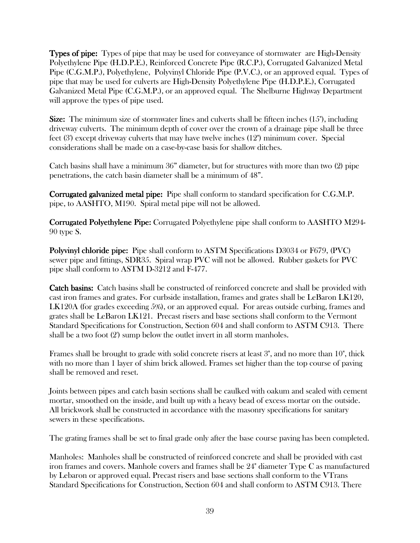**Types of pipe:** Types of pipe that may be used for conveyance of stormwater are High-Density Polyethylene Pipe (H.D.P.E.), Reinforced Concrete Pipe (R.C.P.), Corrugated Galvanized Metal Pipe (C.G.M.P.), Polyethylene, Polyvinyl Chloride Pipe (P.V.C.), or an approved equal. Types of pipe that may be used for culverts are High-Density Polyethylene Pipe (H.D.P.E.), Corrugated Galvanized Metal Pipe (C.G.M.P.), or an approved equal. The Shelburne Highway Department will approve the types of pipe used.

**Size:** The minimum size of stormwater lines and culverts shall be fifteen inches  $(15")$ , including driveway culverts. The minimum depth of cover over the crown of a drainage pipe shall be three feet (3') except driveway culverts that may have twelve inches (12") minimum cover. Special considerations shall be made on a case-by-case basis for shallow ditches.

Catch basins shall have a minimum 36" diameter, but for structures with more than two (2) pipe penetrations, the catch basin diameter shall be a minimum of 48".

**Corrugated galvanized metal pipe:** Pipe shall conform to standard specification for C.G.M.P. pipe, to AASHTO, M190. Spiral metal pipe will not be allowed.

**Corrugated Polyethylene Pipe:** Corrugated Polyethylene pipe shall conform to AASHTO M294-90 type S.

Polyvinyl chloride pipe: Pipe shall conform to ASTM Specifications D3034 or F679, (PVC) sewer pipe and fittings, SDR35. Spiral wrap PVC will not be allowed. Rubber gaskets for PVC pipe shall conform to ASTM D-3212 and F-477.

**Catch basins:** Catch basins shall be constructed of reinforced concrete and shall be provided with cast iron frames and grates. For curbside installation, frames and grates shall be LeBaron LK120, LK120A (for grades exceeding 5%), or an approved equal. For areas outside curbing, frames and grates shall be LeBaron LK121. Precast risers and base sections shall conform to the Vermont Standard Specifications for Construction, Section 604 and shall conform to ASTM C913. There shall be a two foot (2') sump below the outlet invert in all storm manholes.

Frames shall be brought to grade with solid concrete risers at least 3", and no more than 10", thick with no more than 1 layer of shim brick allowed. Frames set higher than the top course of paving shall be removed and reset.

Joints between pipes and catch basin sections shall be caulked with oakum and sealed with cement mortar, smoothed on the inside, and built up with a heavy bead of excess mortar on the outside. All brickwork shall be constructed in accordance with the masonry specifications for sanitary sewers in these specifications.

The grating frames shall be set to final grade only after the base course paving has been completed.

Manholes: Manholes shall be constructed of reinforced concrete and shall be provided with cast iron frames and covers. Manhole covers and frames shall be 24" diameter Type C as manufactured by Lebaron or approved equal. Precast risers and base sections shall conform to the VTrans Standard Specifications for Construction, Section 604 and shall conform to ASTM C913. There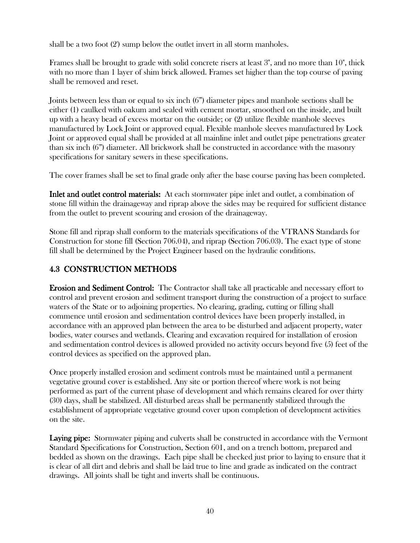shall be a two foot (2') sump below the outlet invert in all storm manholes.

Frames shall be brought to grade with solid concrete risers at least 3", and no more than 10", thick with no more than 1 layer of shim brick allowed. Frames set higher than the top course of paving shall be removed and reset.

Joints between less than or equal to six inch (6") diameter pipes and manhole sections shall be either (1) caulked with oakum and sealed with cement mortar, smoothed on the inside, and built up with a heavy bead of excess mortar on the outside; or (2) utilize flexible manhole sleeves manufactured by Lock Joint or approved equal. Flexible manhole sleeves manufactured by Lock Joint or approved equal shall be provided at all mainline inlet and outlet pipe penetrations greater than six inch (6") diameter. All brickwork shall be constructed in accordance with the masonry specifications for sanitary sewers in these specifications.

The cover frames shall be set to final grade only after the base course paving has been completed.

Inlet and outlet control materials: At each stormwater pipe inlet and outlet, a combination of stone fill within the drainageway and riprap above the sides may be required for sufficient distance from the outlet to prevent scouring and erosion of the drainageway.

Stone fill and riprap shall conform to the materials specifications of the VTRANS Standards for Construction for stone fill (Section 706.04), and riprap (Section 706.03). The exact type of stone fill shall be determined by the Project Engineer based on the hydraulic conditions.

# 4.3 CONSTRUCTION METHODS CONSTRUCTION METHODS

**Erosion and Sediment Control:** The Contractor shall take all practicable and necessary effort to control and prevent erosion and sediment transport during the construction of a project to surface waters of the State or to adjoining properties. No clearing, grading, cutting or filling shall commence until erosion and sedimentation control devices have been properly installed, in accordance with an approved plan between the area to be disturbed and adjacent property, water bodies, water courses and wetlands. Clearing and excavation required for installation of erosion and sedimentation control devices is allowed provided no activity occurs beyond five (5) feet of the control devices as specified on the approved plan.

Once properly installed erosion and sediment controls must be maintained until a permanent vegetative ground cover is established. Any site or portion thereof where work is not being performed as part of the current phase of development and which remains cleared for over thirty (30) days, shall be stabilized. All disturbed areas shall be permanently stabilized through the establishment of appropriate vegetative ground cover upon completion of development activities on the site.

**Laying pipe:** Stormwater piping and culverts shall be constructed in accordance with the Vermont Standard Specifications for Construction, Section 601, and on a trench bottom, prepared and bedded as shown on the drawings. Each pipe shall be checked just prior to laying to ensure that it is clear of all dirt and debris and shall be laid true to line and grade as indicated on the contract drawings. All joints shall be tight and inverts shall be continuous.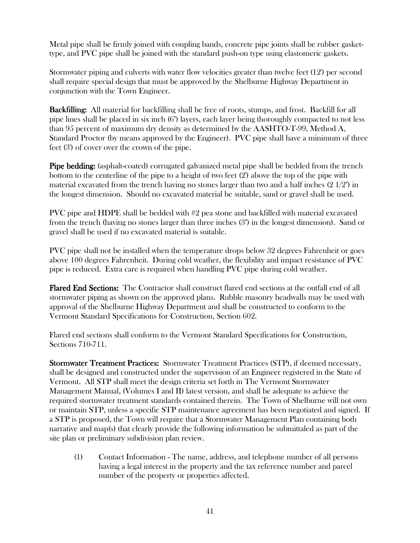Metal pipe shall be firmly joined with coupling bands, concrete pipe joints shall be rubber gaskettype, and PVC pipe shall be joined with the standard push-on type using elastomeric gaskets.

Stormwater piping and culverts with water flow velocities greater than twelve feet (12') per second shall require special design that must be approved by the Shelburne Highway Department in conjunction with the Town Engineer.

**Backfilling:** All material for backfilling shall be free of roots, stumps, and frost. Backfill for all pipe lines shall be placed in six inch (6") layers, each layer being thoroughly compacted to not less than 95 percent of maximum dry density as determined by the AASHTO-T-99, Method A, Standard Proctor (by means approved by the Engineer). PVC pipe shall have a minimum of three feet (3') of cover over the crown of the pipe.

Pipe bedding: (asphalt-coated) corrugated galvanized metal pipe shall be bedded from the trench bottom to the centerline of the pipe to a height of two feet (2') above the top of the pipe with material excavated from the trench having no stones larger than two and a half inches  $(2\ 1/2")$  in the longest dimension. Should no excavated material be suitable, sand or gravel shall be used.

PVC pipe and HDPE shall be bedded with #2 pea stone and backfilled with material excavated from the trench (having no stones larger than three inches (3") in the longest dimension). Sand or gravel shall be used if no excavated material is suitable.

PVC pipe shall not be installed when the temperature drops below 32 degrees Fahrenheit or goes above 100 degrees Fahrenheit. During cold weather, the flexibility and impact resistance of PVC pipe is reduced. Extra care is required when handling PVC pipe during cold weather.

Flared End Sections: The Contractor shall construct flared end sections at the outfall end of all stormwater piping as shown on the approved plans. Rubble masonry headwalls may be used with approval of the Shelburne Highway Department and shall be constructed to conform to the Vermont Standard Specifications for Construction, Section 602.

Flared end sections shall conform to the Vermont Standard Specifications for Construction, Sections 710-711.

Stormwater Treatment Practices: Stormwater Treatment Practices (STP), if deemed necessary, shall be designed and constructed under the supervision of an Engineer registered in the State of Vermont. All STP shall meet the design criteria set forth in The Vermont Stormwater Management Manual, (Volumes I and II) latest version, and shall be adequate to achieve the required stormwater treatment standards contained therein. The Town of Shelburne will not own or maintain STP, unless a specific STP maintenance agreement has been negotiated and signed. If a STP is proposed, the Town will require that a Stormwater Management Plan containing both narrative and map(s) that clearly provide the following information be submittaled as part of the site plan or preliminary subdivision plan review.

(1) Contact Information - The name, address, and telephone number of all persons having a legal interest in the property and the tax reference number and parcel number of the property or properties affected.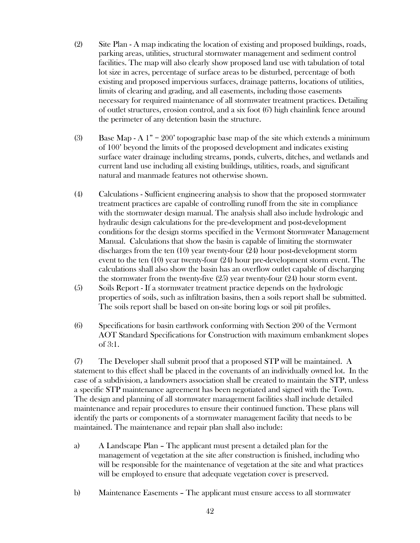- (2) Site Plan A map indicating the location of existing and proposed buildings, roads, parking areas, utilities, structural stormwater management and sediment control facilities. The map will also clearly show proposed land use with tabulation of total lot size in acres, percentage of surface areas to be disturbed, percentage of both existing and proposed impervious surfaces, drainage patterns, locations of utilities, limits of clearing and grading, and all easements, including those easements necessary for required maintenance of all stormwater treatment practices. Detailing of outlet structures, erosion control, and a six foot (6') high chainlink fence around the perimeter of any detention basin the structure.
- (3) Base Map A  $1" = 200'$  topographic base map of the site which extends a minimum of 100' beyond the limits of the proposed development and indicates existing surface water drainage including streams, ponds, culverts, ditches, and wetlands and current land use including all existing buildings, utilities, roads, and significant natural and manmade features not otherwise shown.
- (4) Calculations Sufficient engineering analysis to show that the proposed stormwater treatment practices are capable of controlling runoff from the site in compliance with the stormwater design manual. The analysis shall also include hydrologic and hydraulic design calculations for the pre-development and post-development conditions for the design storms specified in the Vermont Stormwater Management Manual. Calculations that show the basin is capable of limiting the stormwater discharges from the ten (10) year twenty-four (24) hour post-development storm event to the ten (10) year twenty-four (24) hour pre-development storm event. The calculations shall also show the basin has an overflow outlet capable of discharging the stormwater from the twenty-five (25) year twenty-four (24) hour storm event.
- (5) Soils Report If a stormwater treatment practice depends on the hydrologic properties of soils, such as infiltration basins, then a soils report shall be submitted. The soils report shall be based on on-site boring logs or soil pit profiles.
- (6) Specifications for basin earthwork conforming with Section 200 of the Vermont AOT Standard Specifications for Construction with maximum embankment slopes of 3:1.

 (7) The Developer shall submit proof that a proposed STP will be maintained. A statement to this effect shall be placed in the covenants of an individually owned lot. In the case of a subdivision, a landowners association shall be created to maintain the STP, unless a specific STP maintenance agreement has been negotiated and signed with the Town. The design and planning of all stormwater management facilities shall include detailed maintenance and repair procedures to ensure their continued function. These plans will identify the parts or components of a stormwater management facility that needs to be maintained. The maintenance and repair plan shall also include:

- a) A Landscape Plan The applicant must present a detailed plan for the management of vegetation at the site after construction is finished, including who will be responsible for the maintenance of vegetation at the site and what practices will be employed to ensure that adequate vegetation cover is preserved.
- b) Maintenance Easements The applicant must ensure access to all stormwater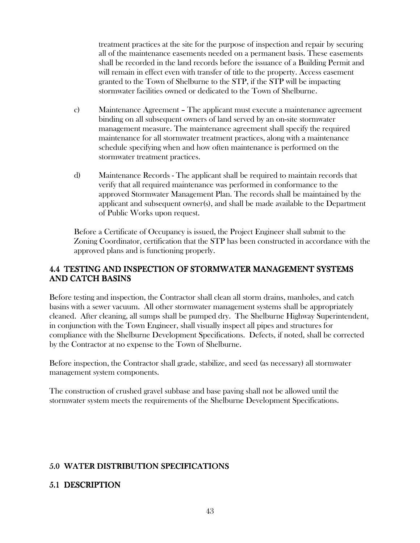treatment practices at the site for the purpose of inspection and repair by securing all of the maintenance easements needed on a permanent basis. These easements shall be recorded in the land records before the issuance of a Building Permit and will remain in effect even with transfer of title to the property. Access easement granted to the Town of Shelburne to the STP, if the STP will be impacting stormwater facilities owned or dedicated to the Town of Shelburne.

- c) Maintenance Agreement The applicant must execute a maintenance agreement binding on all subsequent owners of land served by an on-site stormwater management measure. The maintenance agreement shall specify the required maintenance for all stormwater treatment practices, along with a maintenance schedule specifying when and how often maintenance is performed on the stormwater treatment practices.
- d) Maintenance Records The applicant shall be required to maintain records that verify that all required maintenance was performed in conformance to the approved Stormwater Management Plan. The records shall be maintained by the applicant and subsequent owner(s), and shall be made available to the Department of Public Works upon request.

Before a Certificate of Occupancy is issued, the Project Engineer shall submit to the Zoning Coordinator, certification that the STP has been constructed in accordance with the approved plans and is functioning properly.

### 4.4 TESTING AND INSPECTION OF STORMWATER MANAGEMENT SYSTEMS AND CATCH BASINS

Before testing and inspection, the Contractor shall clean all storm drains, manholes, and catch basins with a sewer vacuum. All other stormwater management systems shall be appropriately cleaned. After cleaning, all sumps shall be pumped dry. The Shelburne Highway Superintendent, in conjunction with the Town Engineer, shall visually inspect all pipes and structures for compliance with the Shelburne Development Specifications. Defects, if noted, shall be corrected by the Contractor at no expense to the Town of Shelburne.

Before inspection, the Contractor shall grade, stabilize, and seed (as necessary) all stormwater management system components.

The construction of crushed gravel subbase and base paving shall not be allowed until the stormwater system meets the requirements of the Shelburne Development Specifications.

# 5.0 WATER DISTRIBUTION SPECIFICATIONS

# 5.1 DESCRIPTION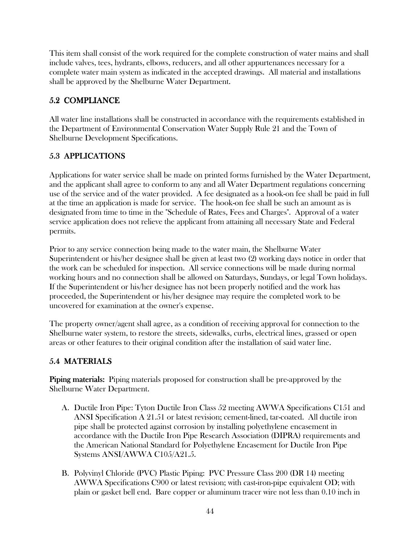This item shall consist of the work required for the complete construction of water mains and shall include valves, tees, hydrants, elbows, reducers, and all other appurtenances necessary for a complete water main system as indicated in the accepted drawings. All material and installations shall be approved by the Shelburne Water Department.

# 5.2 COMPLIANCE

All water line installations shall be constructed in accordance with the requirements established in the Department of Environmental Conservation Water Supply Rule 21 and the Town of Shelburne Development Specifications.

# 5.3 APPLICATIONS

Applications for water service shall be made on printed forms furnished by the Water Department, and the applicant shall agree to conform to any and all Water Department regulations concerning use of the service and of the water provided. A fee designated as a hook-on fee shall be paid in full at the time an application is made for service. The hook-on fee shall be such an amount as is designated from time to time in the "Schedule of Rates, Fees and Charges". Approval of a water service application does not relieve the applicant from attaining all necessary State and Federal permits.

Prior to any service connection being made to the water main, the Shelburne Water Superintendent or his/her designee shall be given at least two (2) working days notice in order that the work can be scheduled for inspection. All service connections will be made during normal working hours and no connection shall be allowed on Saturdays, Sundays, or legal Town holidays. If the Superintendent or his/her designee has not been properly notified and the work has proceeded, the Superintendent or his/her designee may require the completed work to be uncovered for examination at the owner's expense.

The property owner/agent shall agree, as a condition of receiving approval for connection to the Shelburne water system, to restore the streets, sidewalks, curbs, electrical lines, grassed or open areas or other features to their original condition after the installation of said water line.

# 5.4 MATERIALS

**Piping materials:** Piping materials proposed for construction shall be pre-approved by the Shelburne Water Department.

- A. Ductile Iron Pipe: Tyton Ductile Iron Class 52 meeting AWWA Specifications C151 and ANSI Specification A 21.51 or latest revision; cement-lined, tar-coated. All ductile iron pipe shall be protected against corrosion by installing polyethylene encasement in accordance with the Ductile Iron Pipe Research Association (DIPRA) requirements and the American National Standard for Polyethylene Encasement for Ductile Iron Pipe Systems ANSI/AWWA C105/A21.5.
- B. Polyvinyl Chloride (PVC) Plastic Piping: PVC Pressure Class 200 (DR 14) meeting AWWA Specifications C900 or latest revision; with cast-iron-pipe equivalent OD; with plain or gasket bell end. Bare copper or aluminum tracer wire not less than 0.10 inch in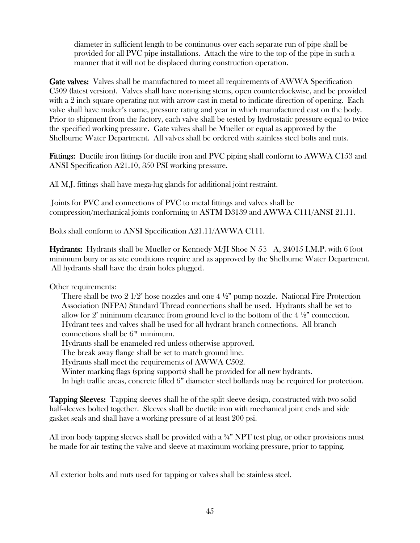diameter in sufficient length to be continuous over each separate run of pipe shall be provided for all PVC pipe installations. Attach the wire to the top of the pipe in such a manner that it will not be displaced during construction operation.

Gate valves: Valves shall be manufactured to meet all requirements of AWWA Specification C509 (latest version). Valves shall have non-rising stems, open counterclockwise, and be provided with a 2 inch square operating nut with arrow cast in metal to indicate direction of opening. Each valve shall have maker's name, pressure rating and year in which manufactured cast on the body. Prior to shipment from the factory, each valve shall be tested by hydrostatic pressure equal to twice the specified working pressure. Gate valves shall be Mueller or equal as approved by the Shelburne Water Department. All valves shall be ordered with stainless steel bolts and nuts.

**Fittings:** Ductile iron fittings for ductile iron and PVC piping shall conform to AWWA C153 and ANSI Specification A21.10, 350 PSI working pressure.

All M.J. fittings shall have mega-lug glands for additional joint restraint.

 Joints for PVC and connections of PVC to metal fittings and valves shall be compression/mechanical joints conforming to ASTM D3139 and AWWA C111/ANSI 21.11.

Bolts shall conform to ANSI Specification A21.11/AWWA C111.

Hydrants: Hydrants shall be Mueller or Kennedy M/JI Shoe N 53 A, 24015 I.M.P. with 6 foot minimum bury or as site conditions require and as approved by the Shelburne Water Department. All hydrants shall have the drain holes plugged.

Other requirements:

There shall be two 2  $1/2$ " hose nozzles and one  $4\frac{1}{2}$ " pump nozzle. National Fire Protection Association (NFPA) Standard Thread connections shall be used. Hydrants shall be set to allow for 2' minimum clearance from ground level to the bottom of the  $4\frac{1}{2}$ " connection. Hydrant tees and valves shall be used for all hydrant branch connections. All branch connections shall be 6" minimum.

Hydrants shall be enameled red unless otherwise approved.

The break away flange shall be set to match ground line.

Hydrants shall meet the requirements of AWWA C502.

Winter marking flags (spring supports) shall be provided for all new hydrants.

In high traffic areas, concrete filled 6" diameter steel bollards may be required for protection.

Tapping Sleeves: Tapping sleeves shall be of the split sleeve design, constructed with two solid half-sleeves bolted together. Sleeves shall be ductile iron with mechanical joint ends and side gasket seals and shall have a working pressure of at least 200 psi.

All iron body tapping sleeves shall be provided with a  $\frac{3}{4}$ " NPT test plug, or other provisions must be made for air testing the valve and sleeve at maximum working pressure, prior to tapping.

All exterior bolts and nuts used for tapping or valves shall be stainless steel.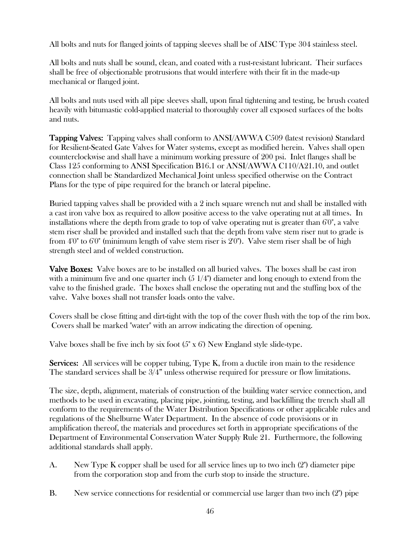All bolts and nuts for flanged joints of tapping sleeves shall be of AISC Type 304 stainless steel.

All bolts and nuts shall be sound, clean, and coated with a rust-resistant lubricant. Their surfaces shall be free of objectionable protrusions that would interfere with their fit in the made-up mechanical or flanged joint.

All bolts and nuts used with all pipe sleeves shall, upon final tightening and testing, be brush coated heavily with bitumastic cold-applied material to thoroughly cover all exposed surfaces of the bolts and nuts.

Tapping Valves: Tapping valves shall conform to ANSI/AWWA C509 (latest revision) Standard for Resilient-Seated Gate Valves for Water systems, except as modified herein. Valves shall open counterclockwise and shall have a minimum working pressure of 200 psi. Inlet flanges shall be Class 125 conforming to ANSI Specification B16.1 or ANSI/AWWA C110/A21.10, and outlet connection shall be Standardized Mechanical Joint unless specified otherwise on the Contract Plans for the type of pipe required for the branch or lateral pipeline.

Buried tapping valves shall be provided with a 2 inch square wrench nut and shall be installed with a cast iron valve box as required to allow positive access to the valve operating nut at all times. In installations where the depth from grade to top of valve operating nut is greater than 6'0", a valve stem riser shall be provided and installed such that the depth from valve stem riser nut to grade is from 4'0" to 6'0" (minimum length of valve stem riser is 2'0"). Valve stem riser shall be of high strength steel and of welded construction.

**Valve Boxes:** Valve boxes are to be installed on all buried valves. The boxes shall be cast iron with a minimum five and one quarter inch  $(5 \frac{1}{4})$  diameter and long enough to extend from the valve to the finished grade. The boxes shall enclose the operating nut and the stuffing box of the valve. Valve boxes shall not transfer loads onto the valve.

Covers shall be close fitting and dirt-tight with the top of the cover flush with the top of the rim box. Covers shall be marked "water" with an arrow indicating the direction of opening.

Valve boxes shall be five inch by six foot  $(5'' \times 6')$  New England style slide-type.

**Services:** All services will be copper tubing,  $Type K$ , from a ductile iron main to the residence The standard services shall be 3/4" unless otherwise required for pressure or flow limitations.

The size, depth, alignment, materials of construction of the building water service connection, and methods to be used in excavating, placing pipe, jointing, testing, and backfilling the trench shall all conform to the requirements of the Water Distribution Specifications or other applicable rules and regulations of the Shelburne Water Department. In the absence of code provisions or in amplification thereof, the materials and procedures set forth in appropriate specifications of the Department of Environmental Conservation Water Supply Rule 21. Furthermore, the following additional standards shall apply.

- A. New Type K copper shall be used for all service lines up to two inch (2") diameter pipe from the corporation stop and from the curb stop to inside the structure.
- B. New service connections for residential or commercial use larger than two inch (2") pipe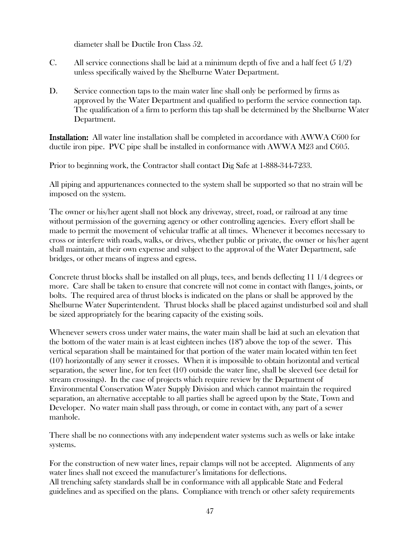diameter shall be Ductile Iron Class 52.

- C. All service connections shall be laid at a minimum depth of five and a half feet (5 1/2') unless specifically waived by the Shelburne Water Department.
- D. Service connection taps to the main water line shall only be performed by firms as approved by the Water Department and qualified to perform the service connection tap. The qualification of a firm to perform this tap shall be determined by the Shelburne Water Department.

**Installation:** All water line installation shall be completed in accordance with AWWA C600 for ductile iron pipe. PVC pipe shall be installed in conformance with AWWA M23 and C605.

Prior to beginning work, the Contractor shall contact Dig Safe at 1-888-344-7233.

All piping and appurtenances connected to the system shall be supported so that no strain will be imposed on the system.

The owner or his/her agent shall not block any driveway, street, road, or railroad at any time without permission of the governing agency or other controlling agencies. Every effort shall be made to permit the movement of vehicular traffic at all times. Whenever it becomes necessary to cross or interfere with roads, walks, or drives, whether public or private, the owner or his/her agent shall maintain, at their own expense and subject to the approval of the Water Department, safe bridges, or other means of ingress and egress.

Concrete thrust blocks shall be installed on all plugs, tees, and bends deflecting 11 1/4 degrees or more. Care shall be taken to ensure that concrete will not come in contact with flanges, joints, or bolts. The required area of thrust blocks is indicated on the plans or shall be approved by the Shelburne Water Superintendent. Thrust blocks shall be placed against undisturbed soil and shall be sized appropriately for the bearing capacity of the existing soils.

Whenever sewers cross under water mains, the water main shall be laid at such an elevation that the bottom of the water main is at least eighteen inches (18") above the top of the sewer. This vertical separation shall be maintained for that portion of the water main located within ten feet (10') horizontally of any sewer it crosses. When it is impossible to obtain horizontal and vertical separation, the sewer line, for ten feet (10') outside the water line, shall be sleeved (see detail for stream crossings). In the case of projects which require review by the Department of Environmental Conservation Water Supply Division and which cannot maintain the required separation, an alternative acceptable to all parties shall be agreed upon by the State, Town and Developer. No water main shall pass through, or come in contact with, any part of a sewer manhole.

There shall be no connections with any independent water systems such as wells or lake intake systems.

For the construction of new water lines, repair clamps will not be accepted. Alignments of any water lines shall not exceed the manufacturer's limitations for deflections. All trenching safety standards shall be in conformance with all applicable State and Federal guidelines and as specified on the plans. Compliance with trench or other safety requirements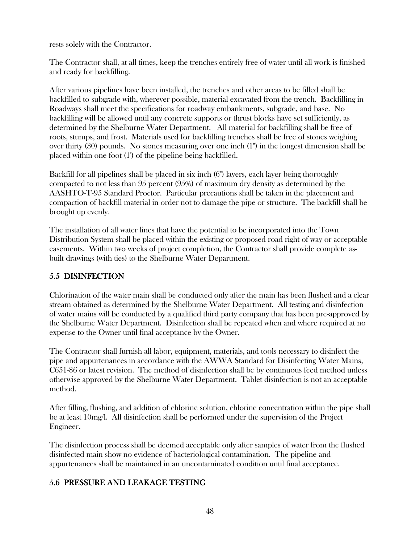rests solely with the Contractor.

The Contractor shall, at all times, keep the trenches entirely free of water until all work is finished and ready for backfilling.

After various pipelines have been installed, the trenches and other areas to be filled shall be backfilled to subgrade with, wherever possible, material excavated from the trench. Backfilling in Roadways shall meet the specifications for roadway embankments, subgrade, and base. No backfilling will be allowed until any concrete supports or thrust blocks have set sufficiently, as determined by the Shelburne Water Department. All material for backfilling shall be free of roots, stumps, and frost. Materials used for backfilling trenches shall be free of stones weighing over thirty (30) pounds. No stones measuring over one inch (1") in the longest dimension shall be placed within one foot (1') of the pipeline being backfilled.

Backfill for all pipelines shall be placed in six inch (6") layers, each layer being thoroughly compacted to not less than 95 percent (95%) of maximum dry density as determined by the AASHTO-T-95 Standard Proctor. Particular precautions shall be taken in the placement and compaction of backfill material in order not to damage the pipe or structure. The backfill shall be brought up evenly.

The installation of all water lines that have the potential to be incorporated into the Town Distribution System shall be placed within the existing or proposed road right of way or acceptable easements. Within two weeks of project completion, the Contractor shall provide complete asbuilt drawings (with ties) to the Shelburne Water Department.

# 5.5 DISINFECTION

Chlorination of the water main shall be conducted only after the main has been flushed and a clear stream obtained as determined by the Shelburne Water Department. All testing and disinfection of water mains will be conducted by a qualified third party company that has been pre-approved by the Shelburne Water Department. Disinfection shall be repeated when and where required at no expense to the Owner until final acceptance by the Owner.

The Contractor shall furnish all labor, equipment, materials, and tools necessary to disinfect the pipe and appurtenances in accordance with the AWWA Standard for Disinfecting Water Mains, C651-86 or latest revision. The method of disinfection shall be by continuous feed method unless otherwise approved by the Shelburne Water Department. Tablet disinfection is not an acceptable method.

After filling, flushing, and addition of chlorine solution, chlorine concentration within the pipe shall be at least 10mg/l. All disinfection shall be performed under the supervision of the Project Engineer.

The disinfection process shall be deemed acceptable only after samples of water from the flushed disinfected main show no evidence of bacteriological contamination. The pipeline and appurtenances shall be maintained in an uncontaminated condition until final acceptance.

# 5.6 PRESSURE AND LEAKAGE TESTING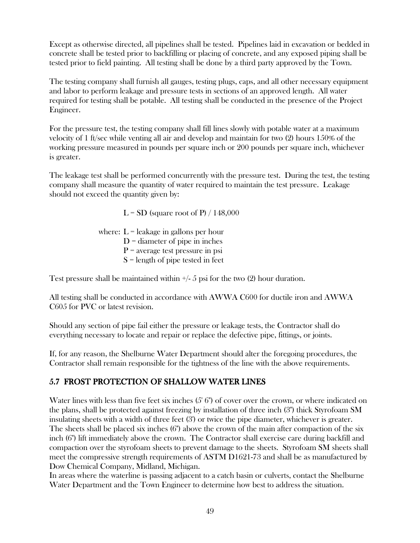Except as otherwise directed, all pipelines shall be tested. Pipelines laid in excavation or bedded in concrete shall be tested prior to backfilling or placing of concrete, and any exposed piping shall be tested prior to field painting. All testing shall be done by a third party approved by the Town.

The testing company shall furnish all gauges, testing plugs, caps, and all other necessary equipment and labor to perform leakage and pressure tests in sections of an approved length. All water required for testing shall be potable. All testing shall be conducted in the presence of the Project Engineer.

For the pressure test, the testing company shall fill lines slowly with potable water at a maximum velocity of 1 ft/sec while venting all air and develop and maintain for two (2) hours 150% of the working pressure measured in pounds per square inch or 200 pounds per square inch, whichever is greater.

The leakage test shall be performed concurrently with the pressure test. During the test, the testing company shall measure the quantity of water required to maintain the test pressure. Leakage should not exceed the quantity given by:

 $L = SD$  (square root of P) / 148,000

where:  $L =$  leakage in gallons per hour  $D =$  diameter of pipe in inches  $P$  = average test pressure in psi  $S =$  length of pipe tested in feet

Test pressure shall be maintained within  $\frac{1}{5}$  psi for the two (2) hour duration.

All testing shall be conducted in accordance with AWWA C600 for ductile iron and AWWA C605 for PVC or latest revision.

Should any section of pipe fail either the pressure or leakage tests, the Contractor shall do everything necessary to locate and repair or replace the defective pipe, fittings, or joints.

If, for any reason, the Shelburne Water Department should alter the foregoing procedures, the Contractor shall remain responsible for the tightness of the line with the above requirements.

### 5.7 FROST PROTECTION OF SHALLOW WATER LINES

Water lines with less than five feet six inches (5' 6") of cover over the crown, or where indicated on the plans, shall be protected against freezing by installation of three inch (3") thick Styrofoam SM insulating sheets with a width of three feet (3') or twice the pipe diameter, whichever is greater. The sheets shall be placed six inches (6") above the crown of the main after compaction of the six inch (6") lift immediately above the crown. The Contractor shall exercise care during backfill and compaction over the styrofoam sheets to prevent damage to the sheets. Styrofoam SM sheets shall meet the compressive strength requirements of ASTM D1621-73 and shall be as manufactured by Dow Chemical Company, Midland, Michigan.

In areas where the waterline is passing adjacent to a catch basin or culverts, contact the Shelburne Water Department and the Town Engineer to determine how best to address the situation.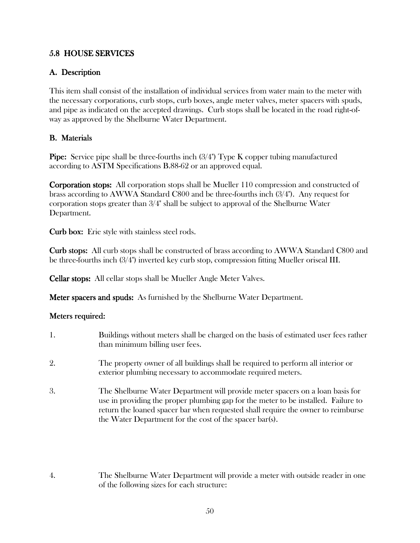### 5.8 HOUSE SERVICES

### A. Description A. Description

This item shall consist of the installation of individual services from water main to the meter with the necessary corporations, curb stops, curb boxes, angle meter valves, meter spacers with spuds, and pipe as indicated on the accepted drawings. Curb stops shall be located in the road right-ofway as approved by the Shelburne Water Department.

### **B.** Materials

**Pipe:** Service pipe shall be three-fourths inch  $(3/4")$  Type K copper tubing manufactured according to ASTM Specifications B.88-62 or an approved equal.

**Corporation stops:** All corporation stops shall be Mueller 110 compression and constructed of brass according to AWWA Standard C800 and be three-fourths inch (3/4"). Any request for corporation stops greater than 3/4" shall be subject to approval of the Shelburne Water Department.

Curb box: Erie style with stainless steel rods.

**Curb stops:** All curb stops shall be constructed of brass according to AWWA Standard C800 and be three-fourths inch (3/4") inverted key curb stop, compression fitting Mueller oriseal III.

Cellar stops: All cellar stops shall be Mueller Angle Meter Valves.

Meter spacers and spuds: As furnished by the Shelburne Water Department.

#### Meters required:

- 1. Buildings without meters shall be charged on the basis of estimated user fees rather than minimum billing user fees. 2. The property owner of all buildings shall be required to perform all interior or exterior plumbing necessary to accommodate required meters. 3. The Shelburne Water Department will provide meter spacers on a loan basis for use in providing the proper plumbing gap for the meter to be installed. Failure to return the loaned spacer bar when requested shall require the owner to reimburse the Water Department for the cost of the spacer bar(s).
- 4. The Shelburne Water Department will provide a meter with outside reader in one of the following sizes for each structure: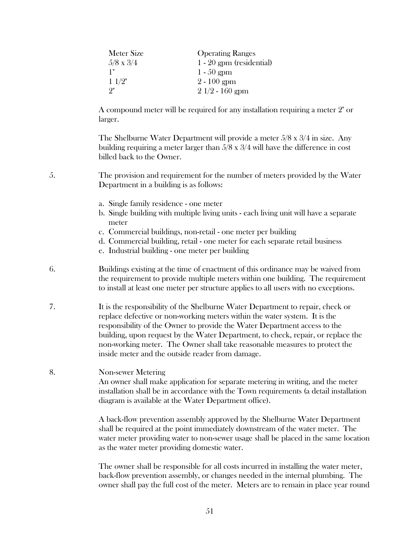| <b>Meter Size</b> | <b>Operating Ranges</b>    |
|-------------------|----------------------------|
| $5/8 \times 3/4$  | $1 - 20$ gpm (residential) |
| 1"                | $1 - 50$ gpm               |
| 11/2"             | $2 - 100$ gpm              |
| 9"                | $21/2 - 160$ gpm           |

A compound meter will be required for any installation requiring a meter 2" or larger.

The Shelburne Water Department will provide a meter 5/8 x 3/4 in size. Any building requiring a meter larger than 5/8 x 3/4 will have the difference in cost billed back to the Owner.

5. The provision and requirement for the number of meters provided by the Water Department in a building is as follows:

- a. Single family residence one meter
- b. Single building with multiple living units each living unit will have a separate meter
- c. Commercial buildings, non-retail one meter per building
- d. Commercial building, retail one meter for each separate retail business
- e. Industrial building one meter per building
- 6. Buildings existing at the time of enactment of this ordinance may be waived from the requirement to provide multiple meters within one building. The requirement to install at least one meter per structure applies to all users with no exceptions.
- 7. It is the responsibility of the Shelburne Water Department to repair, check or replace defective or non-working meters within the water system. It is the responsibility of the Owner to provide the Water Department access to the building, upon request by the Water Department, to check, repair, or replace the non-working meter. The Owner shall take reasonable measures to protect the inside meter and the outside reader from damage.

#### 8. Non-sewer Metering

An owner shall make application for separate metering in writing, and the meter installation shall be in accordance with the Town requirements (a detail installation diagram is available at the Water Department office).

A back-flow prevention assembly approved by the Shelburne Water Department shall be required at the point immediately downstream of the water meter. The water meter providing water to non-sewer usage shall be placed in the same location as the water meter providing domestic water.

The owner shall be responsible for all costs incurred in installing the water meter, back-flow prevention assembly, or changes needed in the internal plumbing. The owner shall pay the full cost of the meter. Meters are to remain in place year round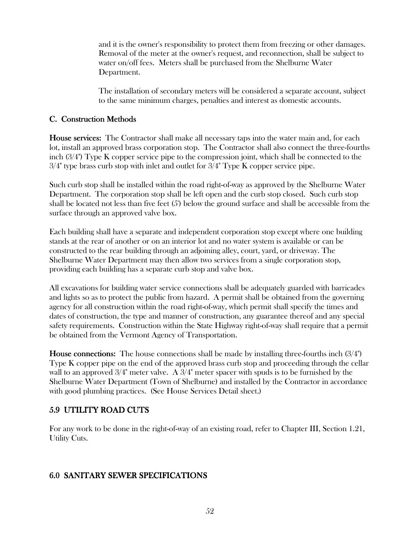and it is the owner's responsibility to protect them from freezing or other damages. Removal of the meter at the owner's request, and reconnection, shall be subject to water on/off fees. Meters shall be purchased from the Shelburne Water Department.

The installation of secondary meters will be considered a separate account, subject to the same minimum charges, penalties and interest as domestic accounts.

### C. Construction Methods

House services: The Contractor shall make all necessary taps into the water main and, for each lot, install an approved brass corporation stop. The Contractor shall also connect the three-fourths inch (3/4") Type K copper service pipe to the compression joint, which shall be connected to the  $3/4$ " type brass curb stop with inlet and outlet for  $3/4$ " Type K copper service pipe.

Such curb stop shall be installed within the road right-of-way as approved by the Shelburne Water Department. The corporation stop shall be left open and the curb stop closed. Such curb stop shall be located not less than five feet (5') below the ground surface and shall be accessible from the surface through an approved valve box.

Each building shall have a separate and independent corporation stop except where one building stands at the rear of another or on an interior lot and no water system is available or can be constructed to the rear building through an adjoining alley, court, yard, or driveway. The Shelburne Water Department may then allow two services from a single corporation stop, providing each building has a separate curb stop and valve box.

All excavations for building water service connections shall be adequately guarded with barricades and lights so as to protect the public from hazard. A permit shall be obtained from the governing agency for all construction within the road right-of-way, which permit shall specify the times and dates of construction, the type and manner of construction, any guarantee thereof and any special safety requirements. Construction within the State Highway right-of-way shall require that a permit be obtained from the Vermont Agency of Transportation.

**House connections:** The house connections shall be made by installing three-fourths inch  $(3/4")$ Type K copper pipe on the end of the approved brass curb stop and proceeding through the cellar wall to an approved  $3/4$ " meter valve. A  $3/4$ " meter spacer with spuds is to be furnished by the Shelburne Water Department (Town of Shelburne) and installed by the Contractor in accordance with good plumbing practices. (See House Services Detail sheet.)

# 5.9 UTILITY ROAD CUTS

For any work to be done in the right-of-way of an existing road, refer to Chapter III, Section 1.21, Utility Cuts.

### 6.0 SANITARY SEWER SPECIFICATIONS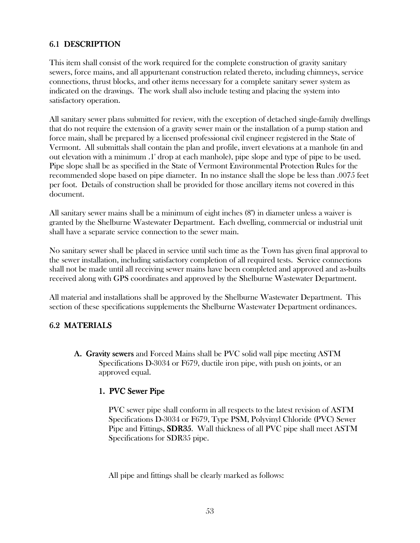## 6.1 DESCRIPTION

This item shall consist of the work required for the complete construction of gravity sanitary sewers, force mains, and all appurtenant construction related thereto, including chimneys, service connections, thrust blocks, and other items necessary for a complete sanitary sewer system as indicated on the drawings. The work shall also include testing and placing the system into satisfactory operation.

All sanitary sewer plans submitted for review, with the exception of detached single-family dwellings that do not require the extension of a gravity sewer main or the installation of a pump station and force main, shall be prepared by a licensed professional civil engineer registered in the State of Vermont. All submittals shall contain the plan and profile, invert elevations at a manhole (in and out elevation with a minimum .1' drop at each manhole), pipe slope and type of pipe to be used. Pipe slope shall be as specified in the State of Vermont Environmental Protection Rules for the recommended slope based on pipe diameter. In no instance shall the slope be less than .0075 feet per foot. Details of construction shall be provided for those ancillary items not covered in this document.

All sanitary sewer mains shall be a minimum of eight inches (8") in diameter unless a waiver is granted by the Shelburne Wastewater Department. Each dwelling, commercial or industrial unit shall have a separate service connection to the sewer main.

No sanitary sewer shall be placed in service until such time as the Town has given final approval to the sewer installation, including satisfactory completion of all required tests. Service connections shall not be made until all receiving sewer mains have been completed and approved and as-builts received along with GPS coordinates and approved by the Shelburne Wastewater Department.

All material and installations shall be approved by the Shelburne Wastewater Department. This section of these specifications supplements the Shelburne Wastewater Department ordinances.

### 6.2 MATERIALS

A. Gravity sewers and Forced Mains shall be PVC solid wall pipe meeting ASTM Specifications D-3034 or F679, ductile iron pipe, with push on joints, or an approved equal.

#### 1. PVC Sewer Pipe

PVC sewer pipe shall conform in all respects to the latest revision of ASTM Specifications D-3034 or F679, Type PSM, Polyvinyl Chloride (PVC) Sewer Pipe and Fittings, SDR35. Wall thickness of all PVC pipe shall meet ASTM Specifications for SDR35 pipe.

All pipe and fittings shall be clearly marked as follows: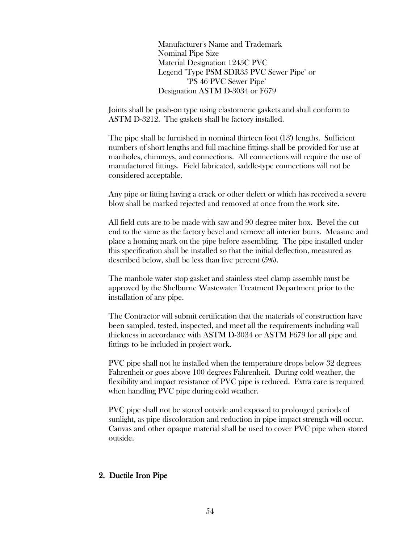Manufacturer's Name and Trademark Nominal Pipe Size Material Designation 1245C PVC Legend "Type PSM SDR35 PVC Sewer Pipe" or "PS 46 PVC Sewer Pipe" Designation ASTM D-3034 or F679

Joints shall be push-on type using elastomeric gaskets and shall conform to ASTM D-3212. The gaskets shall be factory installed.

The pipe shall be furnished in nominal thirteen foot (13') lengths. Sufficient numbers of short lengths and full machine fittings shall be provided for use at manholes, chimneys, and connections. All connections will require the use of manufactured fittings. Field fabricated, saddle-type connections will not be considered acceptable.

Any pipe or fitting having a crack or other defect or which has received a severe blow shall be marked rejected and removed at once from the work site.

All field cuts are to be made with saw and 90 degree miter box. Bevel the cut end to the same as the factory bevel and remove all interior burrs. Measure and place a homing mark on the pipe before assembling. The pipe installed under this specification shall be installed so that the initial deflection, measured as described below, shall be less than five percent (5%).

The manhole water stop gasket and stainless steel clamp assembly must be approved by the Shelburne Wastewater Treatment Department prior to the installation of any pipe.

The Contractor will submit certification that the materials of construction have been sampled, tested, inspected, and meet all the requirements including wall thickness in accordance with ASTM D-3034 or ASTM F679 for all pipe and fittings to be included in project work.

PVC pipe shall not be installed when the temperature drops below 32 degrees Fahrenheit or goes above 100 degrees Fahrenheit. During cold weather, the flexibility and impact resistance of PVC pipe is reduced. Extra care is required when handling PVC pipe during cold weather.

PVC pipe shall not be stored outside and exposed to prolonged periods of sunlight, as pipe discoloration and reduction in pipe impact strength will occur. Canvas and other opaque material shall be used to cover PVC pipe when stored outside.

#### 2. Ductile Iron Pipe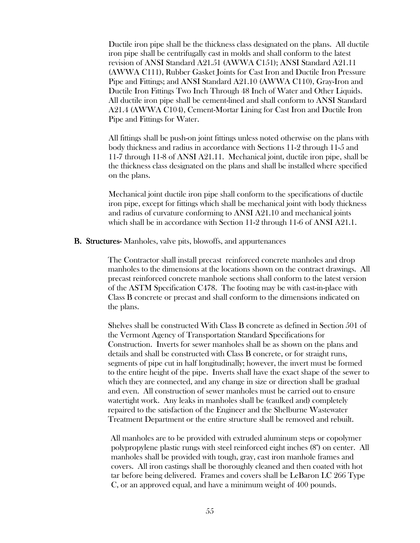Ductile iron pipe shall be the thickness class designated on the plans. All ductile iron pipe shall be centrifugally cast in molds and shall conform to the latest revision of ANSI Standard A21.51 (AWWA C151); ANSI Standard A21.11 (AWWA C111), Rubber Gasket Joints for Cast Iron and Ductile Iron Pressure Pipe and Fittings; and ANSI Standard A21.10 (AWWA C110), Gray-Iron and Ductile Iron Fittings Two Inch Through 48 Inch of Water and Other Liquids. All ductile iron pipe shall be cement-lined and shall conform to ANSI Standard A21.4 (AWWA C104), Cement-Mortar Lining for Cast Iron and Ductile Iron Pipe and Fittings for Water.

All fittings shall be push-on joint fittings unless noted otherwise on the plans with body thickness and radius in accordance with Sections 11-2 through 11-5 and 11-7 through 11-8 of ANSI A21.11. Mechanical joint, ductile iron pipe, shall be the thickness class designated on the plans and shall be installed where specified on the plans.

Mechanical joint ductile iron pipe shall conform to the specifications of ductile iron pipe, except for fittings which shall be mechanical joint with body thickness and radius of curvature conforming to ANSI A21.10 and mechanical joints which shall be in accordance with Section 11-2 through 11-6 of ANSI A21.1.

#### **B. Structures-** Manholes, valve pits, blowoffs, and appurtenances

 The Contractor shall install precast reinforced concrete manholes and drop manholes to the dimensions at the locations shown on the contract drawings. All precast reinforced concrete manhole sections shall conform to the latest version of the ASTM Specification C478. The footing may be with cast-in-place with Class B concrete or precast and shall conform to the dimensions indicated on the plans.

 Shelves shall be constructed With Class B concrete as defined in Section 501 of the Vermont Agency of Transportation Standard Specifications for Construction. Inverts for sewer manholes shall be as shown on the plans and details and shall be constructed with Class B concrete, or for straight runs, segments of pipe cut in half longitudinally; however, the invert must be formed to the entire height of the pipe. Inverts shall have the exact shape of the sewer to which they are connected, and any change in size or direction shall be gradual and even. All construction of sewer manholes must be carried out to ensure watertight work. Any leaks in manholes shall be (caulked and) completely repaired to the satisfaction of the Engineer and the Shelburne Wastewater Treatment Department or the entire structure shall be removed and rebuilt.

 All manholes are to be provided with extruded aluminum steps or copolymer polypropylene plastic rungs with steel reinforced eight inches (8") on center. All manholes shall be provided with tough, gray, cast iron manhole frames and covers. All iron castings shall be thoroughly cleaned and then coated with hot tar before being delivered. Frames and covers shall be LeBaron LC 266 Type C, or an approved equal, and have a minimum weight of 400 pounds.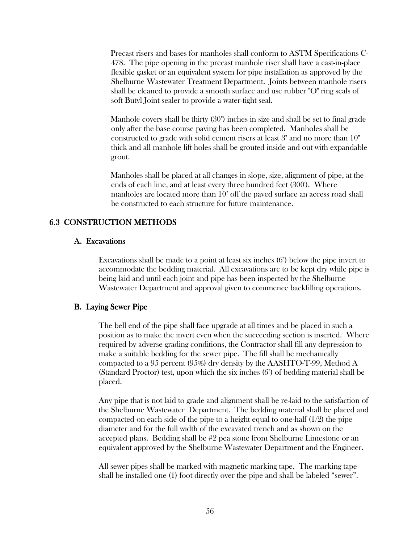Precast risers and bases for manholes shall conform to ASTM Specifications C-478. The pipe opening in the precast manhole riser shall have a cast-in-place flexible gasket or an equivalent system for pipe installation as approved by the Shelburne Wastewater Treatment Department. Joints between manhole risers shall be cleaned to provide a smooth surface and use rubber "O" ring seals of soft Butyl Joint sealer to provide a water-tight seal.

 Manhole covers shall be thirty (30") inches in size and shall be set to final grade only after the base course paving has been completed. Manholes shall be constructed to grade with solid cement risers at least 3" and no more than 10" thick and all manhole lift holes shall be grouted inside and out with expandable grout.

 Manholes shall be placed at all changes in slope, size, alignment of pipe, at the ends of each line, and at least every three hundred feet (300'). Where manholes are located more than 10' off the paved surface an access road shall be constructed to each structure for future maintenance.

### 6.3 CONSTRUCTION METHODS CONSTRUCTION METHODS

#### A. Excavations

Excavations shall be made to a point at least six inches (6") below the pipe invert to accommodate the bedding material. All excavations are to be kept dry while pipe is being laid and until each joint and pipe has been inspected by the Shelburne Wastewater Department and approval given to commence backfilling operations.

#### B. Laying Sewer Pipe

The bell end of the pipe shall face upgrade at all times and be placed in such a position as to make the invert even when the succeeding section is inserted. Where required by adverse grading conditions, the Contractor shall fill any depression to make a suitable bedding for the sewer pipe. The fill shall be mechanically compacted to a 95 percent (95%) dry density by the AASHTO-T-99, Method A (Standard Proctor) test, upon which the six inches (6") of bedding material shall be placed.

Any pipe that is not laid to grade and alignment shall be re-laid to the satisfaction of the Shelburne Wastewater Department. The bedding material shall be placed and compacted on each side of the pipe to a height equal to one-half  $(1/2)$  the pipe diameter and for the full width of the excavated trench and as shown on the accepted plans. Bedding shall be #2 pea stone from Shelburne Limestone or an equivalent approved by the Shelburne Wastewater Department and the Engineer.

All sewer pipes shall be marked with magnetic marking tape. The marking tape shall be installed one (1) foot directly over the pipe and shall be labeled "sewer".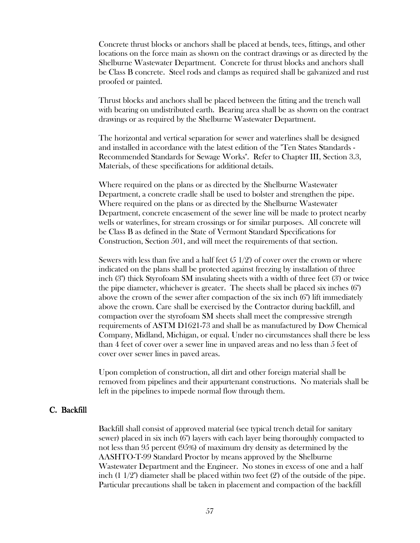Concrete thrust blocks or anchors shall be placed at bends, tees, fittings, and other locations on the force main as shown on the contract drawings or as directed by the Shelburne Wastewater Department. Concrete for thrust blocks and anchors shall be Class B concrete. Steel rods and clamps as required shall be galvanized and rust proofed or painted.

Thrust blocks and anchors shall be placed between the fitting and the trench wall with bearing on undistributed earth. Bearing area shall be as shown on the contract drawings or as required by the Shelburne Wastewater Department.

The horizontal and vertical separation for sewer and waterlines shall be designed and installed in accordance with the latest edition of the "Ten States Standards - Recommended Standards for Sewage Works". Refer to Chapter III, Section 3.3, Materials, of these specifications for additional details.

Where required on the plans or as directed by the Shelburne Wastewater Department, a concrete cradle shall be used to bolster and strengthen the pipe. Where required on the plans or as directed by the Shelburne Wastewater Department, concrete encasement of the sewer line will be made to protect nearby wells or waterlines, for stream crossings or for similar purposes. All concrete will be Class B as defined in the State of Vermont Standard Specifications for Construction, Section 501, and will meet the requirements of that section.

Sewers with less than five and a half feet  $(5 \frac{1}{2})$  of cover over the crown or where indicated on the plans shall be protected against freezing by installation of three inch (3") thick Styrofoam SM insulating sheets with a width of three feet (3') or twice the pipe diameter, whichever is greater. The sheets shall be placed six inches (6") above the crown of the sewer after compaction of the six inch (6") lift immediately above the crown. Care shall be exercised by the Contractor during backfill, and compaction over the styrofoam SM sheets shall meet the compressive strength requirements of ASTM D1621-73 and shall be as manufactured by Dow Chemical Company, Midland, Michigan, or equal.Under no circumstances shall there be less than 4 feet of cover over a sewer line in unpaved areas and no less than 5 feet of cover over sewer lines in paved areas.

Upon completion of construction, all dirt and other foreign material shall be removed from pipelines and their appurtenant constructions. No materials shall be left in the pipelines to impede normal flow through them.

#### C. Backfill

Backfill shall consist of approved material (see typical trench detail for sanitary sewer) placed in six inch (6") layers with each layer being thoroughly compacted to not less than 95 percent (95%) of maximum dry density as determined by the AASHTO-T-99 Standard Proctor by means approved by the Shelburne Wastewater Department and the Engineer. No stones in excess of one and a half inch  $(1\ 1/2")$  diameter shall be placed within two feet  $(2')$  of the outside of the pipe. Particular precautions shall be taken in placement and compaction of the backfill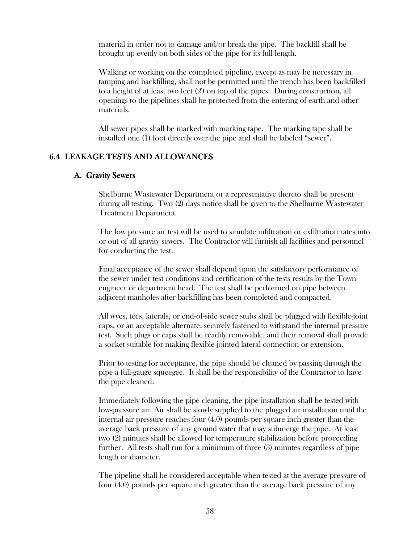material in order not to damage and/or break the pipe. The backfill shall be brought up evenly on both sides of the pipe for its full length.

Walking or working on the completed pipeline, except as may be necessary in tamping and backfilling, shall not be permitted until the trench has been backfilled to a height of at least two feet (2') on top of the pipes. During construction, all openings to the pipelines shall be protected from the entering of earth and other materials.

All sewer pipes shall be marked with marking tape. The marking tape shall be installed one (1) foot directly over the pipe and shall be labeled "sewer".

### 6.4 LEAKAGE TESTS AND ALLOWANCES

#### A. Gravity Sewers

Shelburne Wastewater Department or a representative thereto shall be present during all testing. Two (2) days notice shall be given to the Shelburne Wastewater Treatment Department.

The low pressure air test will be used to simulate infiltration or exfiltration rates into or out of all gravity sewers. The Contractor will furnish all facilities and personnel for conducting the test.

Final acceptance of the sewer shall depend upon the satisfactory performance of the sewer under test conditions and certification of the tests results by the Town engineer or department head. The test shall be performed on pipe between adjacent manholes after backfilling has been completed and compacted.

All wyes, tees, laterals, or end-of-side sewer stubs shall be plugged with flexible-joint caps, or an acceptable alternate, securely fastened to withstand the internal pressure test. Such plugs or caps shall be readily removable, and their removal shall provide a socket suitable for making flexible-jointed lateral connection or extension.

Prior to testing for acceptance, the pipe should be cleaned by passing through the pipe a full-gauge squeegee. It shall be the responsibility of the Contractor to have the pipe cleaned.

Immediately following the pipe cleaning, the pipe installation shall be tested with low-pressure air. Air shall be slowly supplied to the plugged air installation until the internal air pressure reaches four (4.0) pounds per square inch greater than the average back pressure of any ground water that may submerge the pipe. At least two (2) minutes shall be allowed for temperature stabilization before proceeding further. All tests shall run for a minimum of three (3) minutes regardless of pipe length or diameter.

The pipeline shall be considered acceptable when tested at the average pressure of four (4.0) pounds per square inch greater than the average back pressure of any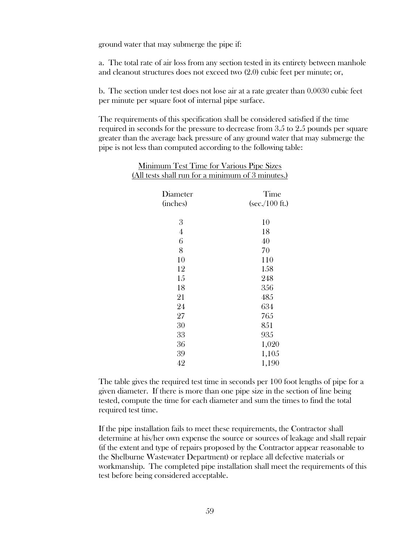ground water that may submerge the pipe if:

a. The total rate of air loss from any section tested in its entirety between manhole and cleanout structures does not exceed two (2.0) cubic feet per minute; or,

b. The section under test does not lose air at a rate greater than 0.0030 cubic feet per minute per square foot of internal pipe surface.

The requirements of this specification shall be considered satisfied if the time required in seconds for the pressure to decrease from 3.5 to 2.5 pounds per square greater than the average back pressure of any ground water that may submerge the pipe is not less than computed according to the following table:

| (All tests shall run for a minimum of 3 minutes.) |                                  |  |
|---------------------------------------------------|----------------------------------|--|
| Diameter<br>(inches)                              | Time<br>$(\sec/100 \text{ ft.})$ |  |
| 3                                                 | 10                               |  |
| 4                                                 | 18                               |  |
| 6                                                 | 40                               |  |
| 8                                                 | 70                               |  |
| 10                                                | 110                              |  |
| 12                                                | 158                              |  |
| 15                                                | 248                              |  |
| 18                                                | 356                              |  |
| 21                                                | 485                              |  |
| 24                                                | 634                              |  |
| 27                                                | 765                              |  |
| 30                                                | 851                              |  |
| 33                                                | 935                              |  |
| 36                                                | 1,020                            |  |
| 39                                                | 1,105                            |  |
| 42                                                | 1,190                            |  |

Minimum Test Time for Various Pipe Sizes

The table gives the required test time in seconds per 100 foot lengths of pipe for a given diameter. If there is more than one pipe size in the section of line being tested, compute the time for each diameter and sum the times to find the total required test time.

If the pipe installation fails to meet these requirements, the Contractor shall determine at his/her own expense the source or sources of leakage and shall repair (if the extent and type of repairs proposed by the Contractor appear reasonable to the Shelburne Wastewater Department) or replace all defective materials or workmanship. The completed pipe installation shall meet the requirements of this test before being considered acceptable.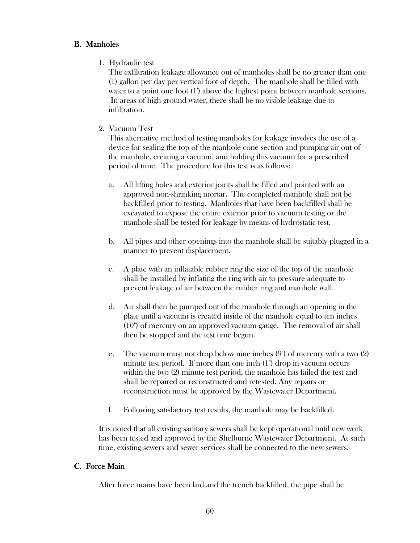### **B.** Manholes

1. Hydraulic test

The exfiltration leakage allowance out of manholes shall be no greater than one (1) gallon per day per vertical foot of depth. The manhole shall be filled with water to a point one foot (1') above the highest point between manhole sections. In areas of high ground water, there shall be no visible leakage due to infiltration.

2. Vacuum Test

This alternative method of testing manholes for leakage involves the use of a device for sealing the top of the manhole cone section and pumping air out of the manhole, creating a vacuum, and holding this vacuum for a prescribed period of time. The procedure for this test is as follows:

- a. All lifting holes and exterior joints shall be filled and pointed with an approved non-shrinking mortar. The completed manhole shall not be backfilled prior to testing. Manholes that have been backfilled shall be excavated to expose the entire exterior prior to vacuum testing or the manhole shall be tested for leakage by means of hydrostatic test.
- b. All pipes and other openings into the manhole shall be suitably plugged in a manner to prevent displacement.
- c. A plate with an inflatable rubber ring the size of the top of the manhole shall be installed by inflating the ring with air to pressure adequate to prevent leakage of air between the rubber ring and manhole wall.
- d. Air shall then be pumped out of the manhole through an opening in the plate until a vacuum is created inside of the manhole equal to ten inches (10") of mercury on an approved vacuum gauge. The removal of air shall then be stopped and the test time begun.
- e. The vacuum must not drop below nine inches (9") of mercury with a two (2) minute test period. If more than one inch (1") drop in vacuum occurs within the two (2) minute test period, the manhole has failed the test and shall be repaired or reconstructed and retested. Any repairs or reconstruction must be approved by the Wastewater Department.
- f. Following satisfactory test results, the manhole may be backfilled.

It is noted that all existing sanitary sewers shall be kept operational until new work has been tested and approved by the Shelburne Wastewater Department. At such time, existing sewers and sewer services shall be connected to the new sewers.

#### C. Force Main

After force mains have been laid and the trench backfilled, the pipe shall be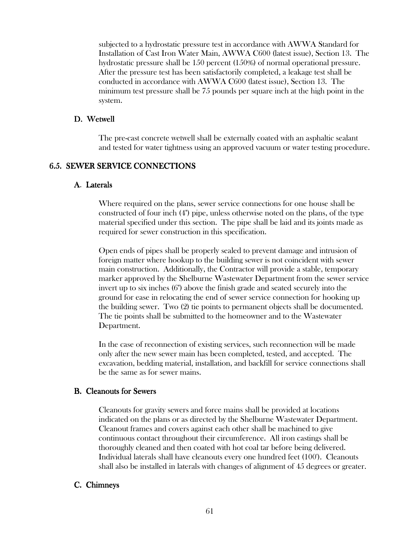subjected to a hydrostatic pressure test in accordance with AWWA Standard for Installation of Cast Iron Water Main, AWWA C600 (latest issue), Section 13. The hydrostatic pressure shall be 150 percent (150%) of normal operational pressure. After the pressure test has been satisfactorily completed, a leakage test shall be conducted in accordance with AWWA C600 (latest issue), Section 13. The minimum test pressure shall be 75 pounds per square inch at the high point in the system.

#### D. Wetwell

 The pre-cast concrete wetwell shall be externally coated with an asphaltic sealant and tested for water tightness using an approved vacuum or water testing procedure.

#### 6.5. SEWER SERVICE CONNECTIONS

#### A. Laterals

Where required on the plans, sewer service connections for one house shall be constructed of four inch (4") pipe, unless otherwise noted on the plans, of the type material specified under this section. The pipe shall be laid and its joints made as required for sewer construction in this specification.

Open ends of pipes shall be properly sealed to prevent damage and intrusion of foreign matter where hookup to the building sewer is not coincident with sewer main construction. Additionally, the Contractor will provide a stable, temporary marker approved by the Shelburne Wastewater Department from the sewer service invert up to six inches (6") above the finish grade and seated securely into the ground for ease in relocating the end of sewer service connection for hooking up the building sewer. Two (2) tie points to permanent objects shall be documented. The tie points shall be submitted to the homeowner and to the Wastewater Department.

In the case of reconnection of existing services, such reconnection will be made only after the new sewer main has been completed, tested, and accepted. The excavation, bedding material, installation, and backfill for service connections shall be the same as for sewer mains.

#### **B.** Cleanouts for Sewers

Cleanouts for gravity sewers and force mains shall be provided at locations indicated on the plans or as directed by the Shelburne Wastewater Department. Cleanout frames and covers against each other shall be machined to give continuous contact throughout their circumference. All iron castings shall be thoroughly cleaned and then coated with hot coal tar before being delivered. Individual laterals shall have cleanouts every one hundred feet (100'). Cleanouts shall also be installed in laterals with changes of alignment of 45 degrees or greater.

#### C. Chimneys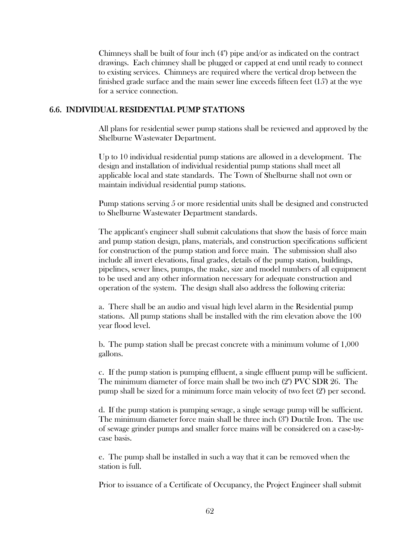Chimneys shall be built of four inch (4") pipe and/or as indicated on the contract drawings. Each chimney shall be plugged or capped at end until ready to connect to existing services. Chimneys are required where the vertical drop between the finished grade surface and the main sewer line exceeds fifteen feet (15') at the wye for a service connection.

#### 6.6. INDIVIDUAL RESIDENTIAL PUMP STATIONS

All plans for residential sewer pump stations shall be reviewed and approved by the Shelburne Wastewater Department.

Up to 10 individual residential pump stations are allowed in a development. The design and installation of individual residential pump stations shall meet all applicable local and state standards. The Town of Shelburne shall not own or maintain individual residential pump stations.

Pump stations serving 5 or more residential units shall be designed and constructed to Shelburne Wastewater Department standards.

The applicant's engineer shall submit calculations that show the basis of force main and pump station design, plans, materials, and construction specifications sufficient for construction of the pump station and force main. The submission shall also include all invert elevations, final grades, details of the pump station, buildings, pipelines, sewer lines, pumps, the make, size and model numbers of all equipment to be used and any other information necessary for adequate construction and operation of the system. The design shall also address the following criteria:

a. There shall be an audio and visual high level alarm in the Residential pump stations. All pump stations shall be installed with the rim elevation above the 100 year flood level.

b. The pump station shall be precast concrete with a minimum volume of 1,000 gallons.

c. If the pump station is pumping effluent, a single effluent pump will be sufficient. The minimum diameter of force main shall be two inch (2") PVC SDR 26. The pump shall be sized for a minimum force main velocity of two feet (2') per second.

d. If the pump station is pumping sewage, a single sewage pump will be sufficient. The minimum diameter force main shall be three inch (3") Ductile Iron. The use of sewage grinder pumps and smaller force mains will be considered on a case-bycase basis.

e. The pump shall be installed in such a way that it can be removed when the station is full.

Prior to issuance of a Certificate of Occupancy, the Project Engineer shall submit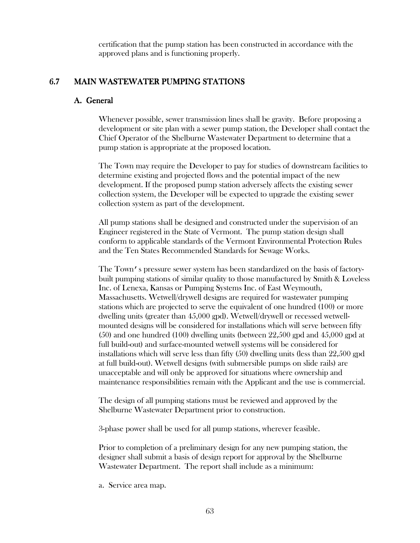certification that the pump station has been constructed in accordance with the approved plans and is functioning properly.

### 6.7 MAIN WASTEWATER PUMPING STATIONS

### A. General

Whenever possible, sewer transmission lines shall be gravity. Before proposing a development or site plan with a sewer pump station, the Developer shall contact the Chief Operator of the Shelburne Wastewater Department to determine that a pump station is appropriate at the proposed location.

The Town may require the Developer to pay for studies of downstream facilities to determine existing and projected flows and the potential impact of the new development. If the proposed pump station adversely affects the existing sewer collection system, the Developer will be expected to upgrade the existing sewer collection system as part of the development.

All pump stations shall be designed and constructed under the supervision of an Engineer registered in the State of Vermont. The pump station design shall conform to applicable standards of the Vermont Environmental Protection Rules and the Ten States Recommended Standards for Sewage Works.

The Town's pressure sewer system has been standardized on the basis of factorybuilt pumping stations of similar quality to those manufactured by Smith & Loveless Inc. of Lenexa, Kansas or Pumping Systems Inc. of East Weymouth, Massachusetts. Wetwell/drywell designs are required for wastewater pumping stations which are projected to serve the equivalent of one hundred (100) or more dwelling units (greater than 45,000 gpd). Wetwell/drywell or recessed wetwellmounted designs will be considered for installations which will serve between fifty (50) and one hundred (100) dwelling units (between 22,500 gpd and 45,000 gpd at full build-out) and surface-mounted wetwell systems will be considered for installations which will serve less than fifty (50) dwelling units (less than 22,500 gpd at full build-out). Wetwell designs (with submersible pumps on slide rails) are unacceptable and will only be approved for situations where ownership and maintenance responsibilities remain with the Applicant and the use is commercial.

The design of all pumping stations must be reviewed and approved by the Shelburne Wastewater Department prior to construction.

3-phase power shall be used for all pump stations, wherever feasible.

Prior to completion of a preliminary design for any new pumping station, the designer shall submit a basis of design report for approval by the Shelburne Wastewater Department. The report shall include as a minimum:

a. Service area map.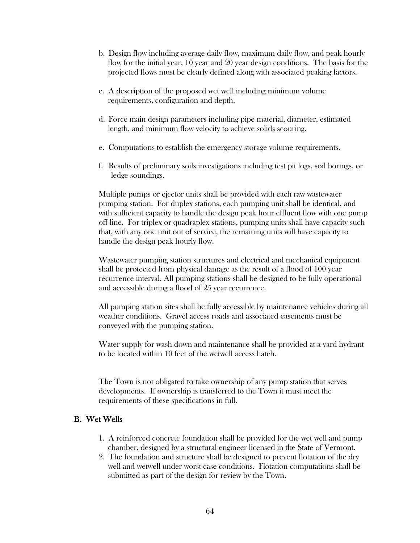- b. Design flow including average daily flow, maximum daily flow, and peak hourly flow for the initial year, 10 year and 20 year design conditions. The basis for the projected flows must be clearly defined along with associated peaking factors.
- c. A description of the proposed wet well including minimum volume requirements, configuration and depth.
- d. Force main design parameters including pipe material, diameter, estimated length, and minimum flow velocity to achieve solids scouring.
- e. Computations to establish the emergency storage volume requirements.
- f. Results of preliminary soils investigations including test pit logs, soil borings, or ledge soundings.

 Multiple pumps or ejector units shall be provided with each raw wastewater pumping station. For duplex stations, each pumping unit shall be identical, and with sufficient capacity to handle the design peak hour effluent flow with one pump off-line. For triplex or quadraplex stations, pumping units shall have capacity such that, with any one unit out of service, the remaining units will have capacity to handle the design peak hourly flow.

 Wastewater pumping station structures and electrical and mechanical equipment shall be protected from physical damage as the result of a flood of 100 year recurrence interval. All pumping stations shall be designed to be fully operational and accessible during a flood of 25 year recurrence.

 All pumping station sites shall be fully accessible by maintenance vehicles during all weather conditions. Gravel access roads and associated easements must be conveyed with the pumping station.

 Water supply for wash down and maintenance shall be provided at a yard hydrant to be located within 10 feet of the wetwell access hatch.

 The Town is not obligated to take ownership of any pump station that serves developments. If ownership is transferred to the Town it must meet the requirements of these specifications in full.

### B. WetWells

- 1. A reinforced concrete foundation shall be provided for the wet well and pump chamber, designed by a structural engineer licensed in the State of Vermont.
- 2. The foundation and structure shall be designed to prevent flotation of the dry well and wetwell under worst case conditions. Flotation computations shall be submitted as part of the design for review by the Town.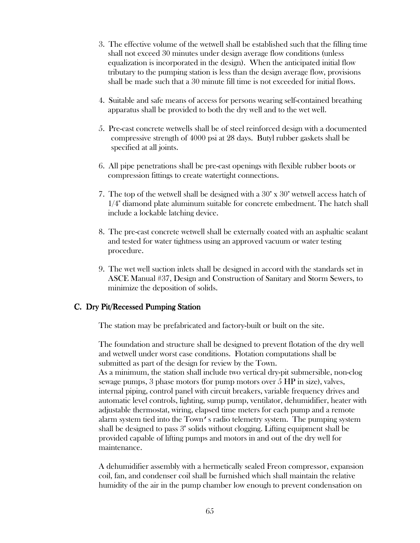- 3. The effective volume of the wetwell shall be established such that the filling time shall not exceed 30 minutes under design average flow conditions (unless equalization is incorporated in the design). When the anticipated initial flow tributary to the pumping station is less than the design average flow, provisions shall be made such that a 30 minute fill time is not exceeded for initial flows.
- 4. Suitable and safe means of access for persons wearing self-contained breathing apparatus shall be provided to both the dry well and to the wet well.
- 5. Pre-cast concrete wetwells shall be of steel reinforced design with a documented compressive strength of 4000 psi at 28 days. Butyl rubber gaskets shall be specified at all joints.
- 6. All pipe penetrations shall be pre-cast openings with flexible rubber boots or compression fittings to create watertight connections.
- 7. The top of the wetwell shall be designed with a 30" x 30" wetwell access hatch of 1/4" diamond plate aluminum suitable for concrete embedment. The hatch shall include a lockable latching device.
- 8. The pre-cast concrete wetwell shall be externally coated with an asphaltic sealant and tested for water tightness using an approved vacuum or water testing procedure.
- 9. The wet well suction inlets shall be designed in accord with the standards set in ASCE Manual #37, Design and Construction of Sanitary and Storm Sewers, to minimize the deposition of solids.

#### C. Dry Pit/Recessed Pumping Station

The station may be prefabricated and factory-built or built on the site.

The foundation and structure shall be designed to prevent flotation of the dry well and wetwell under worst case conditions. Flotation computations shall be submitted as part of the design for review by the Town. As a minimum, the station shall include two vertical dry-pit submersible, non-clog sewage pumps, 3 phase motors (for pump motors over 5 HP in size), valves, internal piping, control panel with circuit breakers, variable frequency drives and automatic level controls, lighting, sump pump, ventilator, dehumidifier, heater with adjustable thermostat, wiring, elapsed time meters for each pump and a remote alarm system tied into the Town's radio telemetry system. The pumping system shall be designed to pass 3" solids without clogging. Lifting equipment shall be provided capable of lifting pumps and motors in and out of the dry well for maintenance.

A dehumidifier assembly with a hermetically sealed Freon compressor, expansion coil, fan, and condenser coil shall be furnished which shall maintain the relative humidity of the air in the pump chamber low enough to prevent condensation on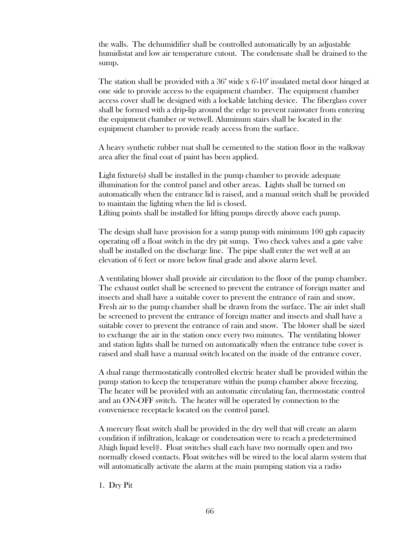the walls. The dehumidifier shall be controlled automatically by an adjustable humidistat and low air temperature cutout. The condensate shall be drained to the sump.

The station shall be provided with a 36" wide x 6'-10" insulated metal door hinged at one side to provide access to the equipment chamber. The equipment chamber access cover shall be designed with a lockable latching device. The fiberglass cover shall be formed with a drip-lip around the edge to prevent rainwater from entering the equipment chamber or wetwell. Aluminum stairs shall be located in the equipment chamber to provide ready access from the surface.

A heavy synthetic rubber mat shall be cemented to the station floor in the walkway area after the final coat of paint has been applied.

Light fixture(s) shall be installed in the pump chamber to provide adequate illumination for the control panel and other areas. Lights shall be turned on automatically when the entrance lid is raised, and a manual switch shall be provided to maintain the lighting when the lid is closed. Lifting points shall be installed for lifting pumps directly above each pump.

The design shall have provision for a sump pump with minimum 100 gph capacity operating off a float switch in the dry pit sump. Two check valves and a gate valve shall be installed on the discharge line. The pipe shall enter the wet well at an elevation of 6 feet or more below final grade and above alarm level.

A ventilating blower shall provide air circulation to the floor of the pump chamber. The exhaust outlet shall be screened to prevent the entrance of foreign matter and insects and shall have a suitable cover to prevent the entrance of rain and snow. Fresh air to the pump chamber shall be drawn from the surface. The air inlet shall be screened to prevent the entrance of foreign matter and insects and shall have a suitable cover to prevent the entrance of rain and snow. The blower shall be sized to exchange the air in the station once every two minutes. The ventilating blower and station lights shall be turned on automatically when the entrance tube cover is raised and shall have a manual switch located on the inside of the entrance cover.

A dual range thermostatically controlled electric heater shall be provided within the pump station to keep the temperature within the pump chamber above freezing. The heater will be provided with an automatic circulating fan, thermostatic control and an ON-OFF switch. The heater will be operated by connection to the convenience receptacle located on the control panel.

A mercury float switch shall be provided in the dry well that will create an alarm condition if infiltration, leakage or condensation were to reach a predetermined Ahigh liquid level@. Float switches shall each have two normally open and two normally closed contacts. Float switches will be wired to the local alarm system that will automatically activate the alarm at the main pumping station via a radio

1. Dry Pit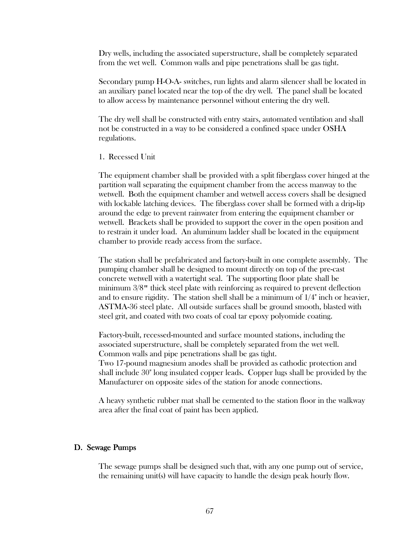Dry wells, including the associated superstructure, shall be completely separated from the wet well. Common walls and pipe penetrations shall be gas tight.

Secondary pump H-O-A- switches, run lights and alarm silencer shall be located in an auxiliary panel located near the top of the dry well. The panel shall be located to allow access by maintenance personnel without entering the dry well.

The dry well shall be constructed with entry stairs, automated ventilation and shall not be constructed in a way to be considered a confined space under OSHA regulations.

1. Recessed Unit

 The equipment chamber shall be provided with a split fiberglass cover hinged at the partition wall separating the equipment chamber from the access manway to the wetwell. Both the equipment chamber and wetwell access covers shall be designed with lockable latching devices. The fiberglass cover shall be formed with a drip-lip around the edge to prevent rainwater from entering the equipment chamber or wetwell. Brackets shall be provided to support the cover in the open position and to restrain it under load. An aluminum ladder shall be located in the equipment chamber to provide ready access from the surface.

 The station shall be prefabricated and factory-built in one complete assembly. The pumping chamber shall be designed to mount directly on top of the pre-cast concrete wetwell with a watertight seal. The supporting floor plate shall be minimum 3/8" thick steel plate with reinforcing as required to prevent deflection and to ensure rigidity. The station shell shall be a minimum of  $1/4$ " inch or heavier, ASTMA-36 steel plate. All outside surfaces shall be ground smooth, blasted with steel grit, and coated with two coats of coal tar epoxy polyomide coating.

 Factory-built, recessed-mounted and surface mounted stations, including the associated superstructure, shall be completely separated from the wet well. Common walls and pipe penetrations shall be gas tight.

 Two 17-pound magnesium anodes shall be provided as cathodic protection and shall include 30" long insulated copper leads. Copper lugs shall be provided by the Manufacturer on opposite sides of the station for anode connections.

A heavy synthetic rubber mat shall be cemented to the station floor in the walkway area after the final coat of paint has been applied.

#### D. Sewage Pumps

The sewage pumps shall be designed such that, with any one pump out of service, the remaining unit(s) will have capacity to handle the design peak hourly flow.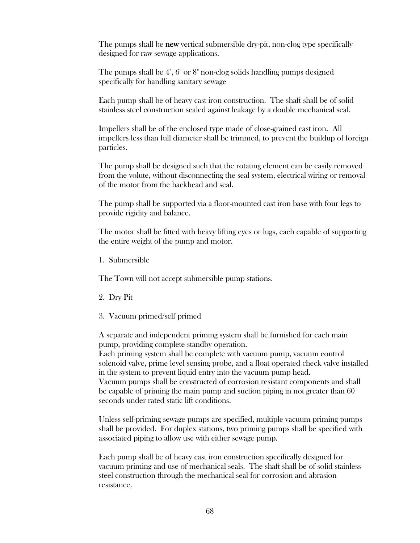The pumps shall be **new** vertical submersible dry-pit, non-clog type specifically designed for raw sewage applications.

The pumps shall be 4", 6" or 8" non-clog solids handling pumps designed specifically for handling sanitary sewage

Each pump shall be of heavy cast iron construction. The shaft shall be of solid stainless steel construction sealed against leakage by a double mechanical seal.

Impellers shall be of the enclosed type made of close-grained cast iron. All impellers less than full diameter shall be trimmed, to prevent the buildup of foreign particles.

The pump shall be designed such that the rotating element can be easily removed from the volute, without disconnecting the seal system, electrical wiring or removal of the motor from the backhead and seal.

The pump shall be supported via a floor-mounted cast iron base with four legs to provide rigidity and balance.

The motor shall be fitted with heavy lifting eyes or lugs, each capable of supporting the entire weight of the pump and motor.

1. Submersible

The Town will not accept submersible pump stations.

- 2. Dry Pit
- 3. Vacuum primed/self primed

 A separate and independent priming system shall be furnished for each main pump, providing complete standby operation.

 Each priming system shall be complete with vacuum pump, vacuum control solenoid valve, prime level sensing probe, and a float operated check valve installed in the system to prevent liquid entry into the vacuum pump head.

Vacuum pumps shall be constructed of corrosion resistant components and shall be capable of priming the main pump and suction piping in not greater than 60 seconds under rated static lift conditions.

Unless self-priming sewage pumps are specified, multiple vacuum priming pumps shall be provided. For duplex stations, two priming pumps shall be specified with associated piping to allow use with either sewage pump.

Each pump shall be of heavy cast iron construction specifically designed for vacuum priming and use of mechanical seals. The shaft shall be of solid stainless steel construction through the mechanical seal for corrosion and abrasion resistance.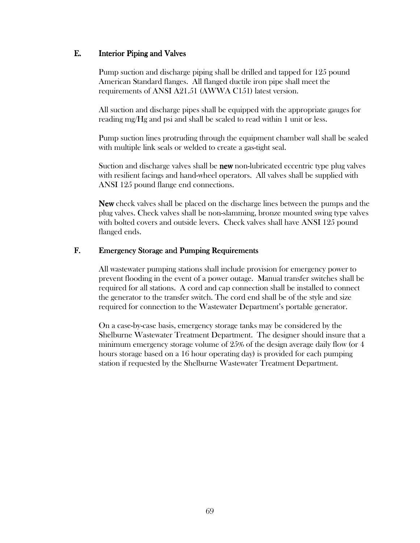### E. Interior Piping and Valves

Pump suction and discharge piping shall be drilled and tapped for 125 pound American Standard flanges. All flanged ductile iron pipe shall meet the requirements of ANSI A21.51 (AWWA C151) latest version.

All suction and discharge pipes shall be equipped with the appropriate gauges for reading mg/Hg and psi and shall be scaled to read within 1 unit or less.

Pump suction lines protruding through the equipment chamber wall shall be sealed with multiple link seals or welded to create a gas-tight seal.

 Suction and discharge valves shall be new non-lubricated eccentric type plug valves with resilient facings and hand-wheel operators. All valves shall be supplied with ANSI 125 pound flange end connections.

 New check valves shall be placed on the discharge lines between the pumps and the plug valves. Check valves shall be non-slamming, bronze mounted swing type valves with bolted covers and outside levers. Check valves shall have ANSI 125 pound flanged ends.

#### F. Emergency Storage and Pumping Requirements

All wastewater pumping stations shall include provision for emergency power to prevent flooding in the event of a power outage. Manual transfer switches shall be required for all stations. A cord and cap connection shall be installed to connect the generator to the transfer switch. The cord end shall be of the style and size required for connection to the Wastewater Department's portable generator.

On a case-by-case basis, emergency storage tanks may be considered by the Shelburne Wastewater Treatment Department. The designer should insure that a minimum emergency storage volume of 25% of the design average daily flow (or 4 hours storage based on a 16 hour operating day) is provided for each pumping station if requested by the Shelburne Wastewater Treatment Department.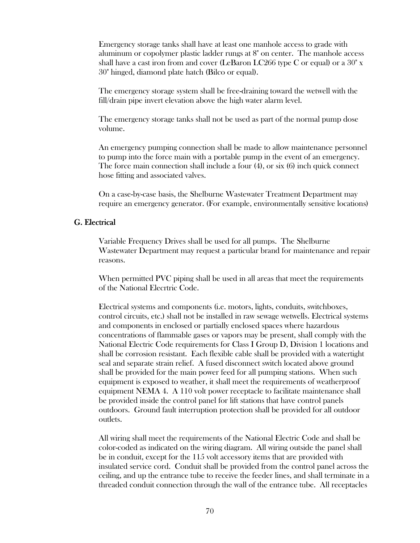Emergency storage tanks shall have at least one manhole access to grade with aluminum or copolymer plastic ladder rungs at 8" on center. The manhole access shall have a cast iron from and cover (LeBaron LC266 type C or equal) or a  $30"$  x 30" hinged, diamond plate hatch (Bilco or equal).

The emergency storage system shall be free-draining toward the wetwell with the fill/drain pipe invert elevation above the high water alarm level.

The emergency storage tanks shall not be used as part of the normal pump dose volume.

An emergency pumping connection shall be made to allow maintenance personnel to pump into the force main with a portable pump in the event of an emergency. The force main connection shall include a four (4), or six (6) inch quick connect hose fitting and associated valves.

On a case-by-case basis, the Shelburne Wastewater Treatment Department may require an emergency generator. (For example, environmentally sensitive locations)

#### G. Electrical

Variable Frequency Drives shall be used for all pumps. The Shelburne Wastewater Department may request a particular brand for maintenance and repair reasons.

 When permitted PVC piping shall be used in all areas that meet the requirements of the National Elecrtric Code.

 Electrical systems and components (i.e. motors, lights, conduits, switchboxes, control circuits, etc.) shall not be installed in raw sewage wetwells. Electrical systems and components in enclosed or partially enclosed spaces where hazardous concentrations of flammable gases or vapors may be present, shall comply with the National Electric Code requirements for Class I Group D, Division 1 locations and shall be corrosion resistant. Each flexible cable shall be provided with a watertight seal and separate strain relief. A fused disconnect switch located above ground shall be provided for the main power feed for all pumping stations. When such equipment is exposed to weather, it shall meet the requirements of weatherproof equipment NEMA 4. A 110 volt power receptacle to facilitate maintenance shall be provided inside the control panel for lift stations that have control panels outdoors. Ground fault interruption protection shall be provided for all outdoor outlets.

 All wiring shall meet the requirements of the National Electric Code and shall be color-coded as indicated on the wiring diagram. All wiring outside the panel shall be in conduit, except for the 115 volt accessory items that are provided with insulated service cord. Conduit shall be provided from the control panel across the ceiling, and up the entrance tube to receive the feeder lines, and shall terminate in a threaded conduit connection through the wall of the entrance tube. All receptacles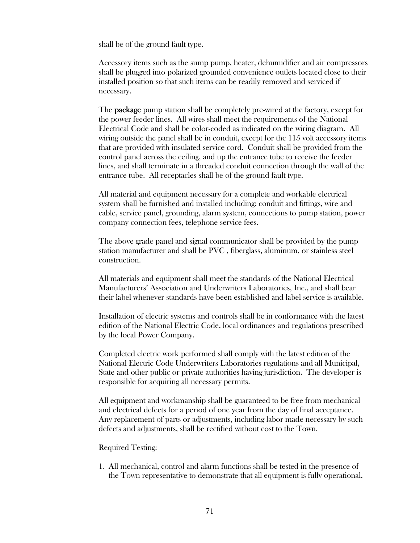shall be of the ground fault type.

Accessory items such as the sump pump, heater, dehumidifier and air compressors shall be plugged into polarized grounded convenience outlets located close to their installed position so that such items can be readily removed and serviced if necessary.

The **package** pump station shall be completely pre-wired at the factory, except for the power feeder lines. All wires shall meet the requirements of the National Electrical Code and shall be color-coded as indicated on the wiring diagram. All wiring outside the panel shall be in conduit, except for the 115 volt accessory items that are provided with insulated service cord. Conduit shall be provided from the control panel across the ceiling, and up the entrance tube to receive the feeder lines, and shall terminate in a threaded conduit connection through the wall of the entrance tube. All receptacles shall be of the ground fault type.

 All material and equipment necessary for a complete and workable electrical system shall be furnished and installed including: conduit and fittings, wire and cable, service panel, grounding, alarm system, connections to pump station, power company connection fees, telephone service fees.

 The above grade panel and signal communicator shall be provided by the pump station manufacturer and shall be PVC , fiberglass, aluminum, or stainless steel construction.

 All materials and equipment shall meet the standards of the National Electrical Manufacturers' Association and Underwriters Laboratories, Inc., and shall bear their label whenever standards have been established and label service is available.

 Installation of electric systems and controls shall be in conformance with the latest edition of the National Electric Code, local ordinances and regulations prescribed by the local Power Company.

 Completed electric work performed shall comply with the latest edition of the National Electric Code Underwriters Laboratories regulations and all Municipal, State and other public or private authorities having jurisdiction. The developer is responsible for acquiring all necessary permits.

 All equipment and workmanship shall be guaranteed to be free from mechanical and electrical defects for a period of one year from the day of final acceptance. Any replacement of parts or adjustments, including labor made necessary by such defects and adjustments, shall be rectified without cost to the Town.

#### Required Testing:

1. All mechanical, control and alarm functions shall be tested in the presence of the Town representative to demonstrate that all equipment is fully operational.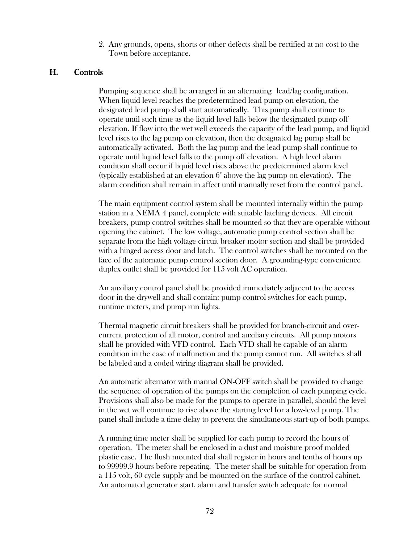2. Any grounds, opens, shorts or other defects shall be rectified at no cost to the Town before acceptance.

#### H. Controls

 Pumping sequence shall be arranged in an alternating lead/lag configuration. When liquid level reaches the predetermined lead pump on elevation, the designated lead pump shall start automatically. This pump shall continue to operate until such time as the liquid level falls below the designated pump off elevation. If flow into the wet well exceeds the capacity of the lead pump, and liquid level rises to the lag pump on elevation, then the designated lag pump shall be automatically activated. Both the lag pump and the lead pump shall continue to operate until liquid level falls to the pump off elevation. A high level alarm condition shall occur if liquid level rises above the predetermined alarm level (typically established at an elevation 6" above the lag pump on elevation). The alarm condition shall remain in affect until manually reset from the control panel.

 The main equipment control system shall be mounted internally within the pump station in a NEMA 4 panel, complete with suitable latching devices. All circuit breakers, pump control switches shall be mounted so that they are operable without opening the cabinet. The low voltage, automatic pump control section shall be separate from the high voltage circuit breaker motor section and shall be provided with a hinged access door and latch. The control switches shall be mounted on the face of the automatic pump control section door. A grounding-type convenience duplex outlet shall be provided for 115 volt AC operation.

 An auxiliary control panel shall be provided immediately adjacent to the access door in the drywell and shall contain: pump control switches for each pump, runtime meters, and pump run lights.

 Thermal magnetic circuit breakers shall be provided for branch-circuit and overcurrent protection of all motor, control and auxiliary circuits. All pump motors shall be provided with VFD control. Each VFD shall be capable of an alarm condition in the case of malfunction and the pump cannot run. All switches shall be labeled and a coded wiring diagram shall be provided.

 An automatic alternator with manual ON-OFF switch shall be provided to change the sequence of operation of the pumps on the completion of each pumping cycle. Provisions shall also be made for the pumps to operate in parallel, should the level in the wet well continue to rise above the starting level for a low-level pump. The panel shall include a time delay to prevent the simultaneous start-up of both pumps.

 A running time meter shall be supplied for each pump to record the hours of operation. The meter shall be enclosed in a dust and moisture proof molded plastic case. The flush mounted dial shall register in hours and tenths of hours up to 99999.9 hours before repeating. The meter shall be suitable for operation from a 115 volt, 60 cycle supply and be mounted on the surface of the control cabinet. An automated generator start, alarm and transfer switch adequate for normal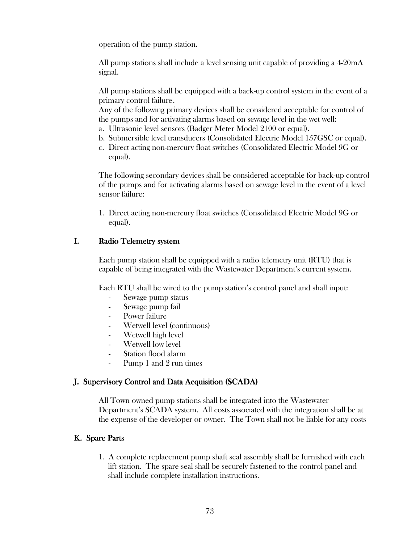operation of the pump station.

All pump stations shall include a level sensing unit capable of providing a 4-20mA signal.

All pump stations shall be equipped with a back-up control system in the event of a primary control failure .

 Any of the following primary devices shall be considered acceptable for control of the pumps and for activating alarms based on sewage level in the wet well:

- a. Ultrasonic level sensors (Badger Meter Model 2100 or equal).
- b. Submersible level transducers (Consolidated Electric Model 157GSC or equal).
- c. Direct acting non-mercury float switches (Consolidated Electric Model 9G or equal).

 The following secondary devices shall be considered acceptable for back-up control of the pumps and for activating alarms based on sewage level in the event of a level sensor failure:

 1. Direct acting non-mercury float switches (Consolidated Electric Model 9G or equal).

# I. Radio Telemetry system

 Each pump station shall be equipped with a radio telemetry unit (RTU) that is capable of being integrated with the Wastewater Department's current system.

Each RTU shall be wired to the pump station's control panel and shall input:

- Sewage pump status
- Sewage pump fail
- Power failure
- Wetwell level (continuous)
- Wetwell high level
- Wetwell low level
- Station flood alarm
- Pump 1 and 2 run times

## J. Supervisory Control and Data Acquisition (SCADA)

All Town owned pump stations shall be integrated into the Wastewater Department's SCADA system. All costs associated with the integration shall be at the expense of the developer or owner. The Town shall not be liable for any costs

# K. Spare Parts

1. A complete replacement pump shaft seal assembly shall be furnished with each lift station. The spare seal shall be securely fastened to the control panel and shall include complete installation instructions.